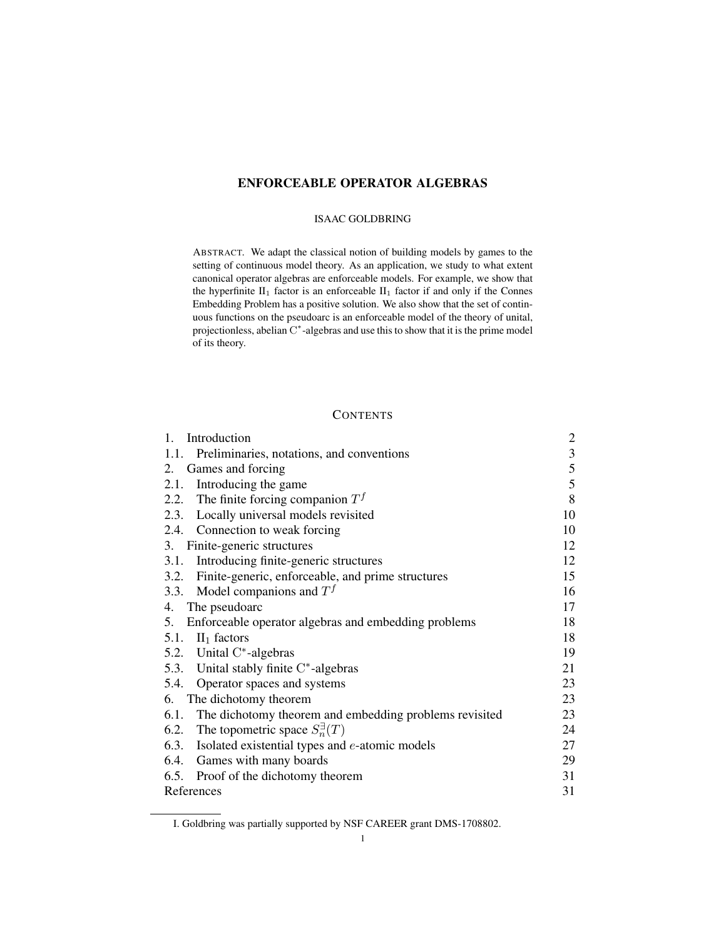# ENFORCEABLE OPERATOR ALGEBRAS

### ISAAC GOLDBRING

ABSTRACT. We adapt the classical notion of building models by games to the setting of continuous model theory. As an application, we study to what extent canonical operator algebras are enforceable models. For example, we show that the hyperfinite  $II_1$  factor is an enforceable  $II_1$  factor if and only if the Connes Embedding Problem has a positive solution. We also show that the set of continuous functions on the pseudoarc is an enforceable model of the theory of unital, projectionless, abelian C<sup>\*</sup>-algebras and use this to show that it is the prime model of its theory.

## **CONTENTS**

| Introduction<br>1.                                          | $\overline{\mathbf{c}}$ |
|-------------------------------------------------------------|-------------------------|
| 1.1.<br>Preliminaries, notations, and conventions           | $\mathfrak{Z}$          |
| 2. Games and forcing                                        | 5                       |
| 2.1. Introducing the game                                   | 5                       |
| 2.2. The finite forcing companion $Tf$                      | $\,8\,$                 |
| 2.3. Locally universal models revisited                     | 10                      |
| 2.4. Connection to weak forcing                             | 10                      |
| 3. Finite-generic structures                                | 12                      |
| 3.1. Introducing finite-generic structures                  | 12                      |
| 3.2. Finite-generic, enforceable, and prime structures      | 15                      |
| 3.3. Model companions and $Tf$                              | 16                      |
| The pseudoarc<br>4.                                         | 17                      |
| 5.<br>Enforceable operator algebras and embedding problems  | 18                      |
| 5.1. $II_1$ factors                                         | 18                      |
| 5.2. Unital C*-algebras                                     | 19                      |
| 5.3. Unital stably finite C*-algebras                       | 21                      |
| 5.4. Operator spaces and systems                            | 23                      |
| The dichotomy theorem<br>6.                                 | 23                      |
| 6.1. The dichotomy theorem and embedding problems revisited | 23                      |
| 6.2. The topometric space $S_n^{\exists}(T)$                | 24                      |
| 6.3. Isolated existential types and <i>e</i> -atomic models | 27                      |
| 6.4. Games with many boards                                 | 29                      |
| 6.5. Proof of the dichotomy theorem                         | 31                      |
| References                                                  | 31                      |

I. Goldbring was partially supported by NSF CAREER grant DMS-1708802.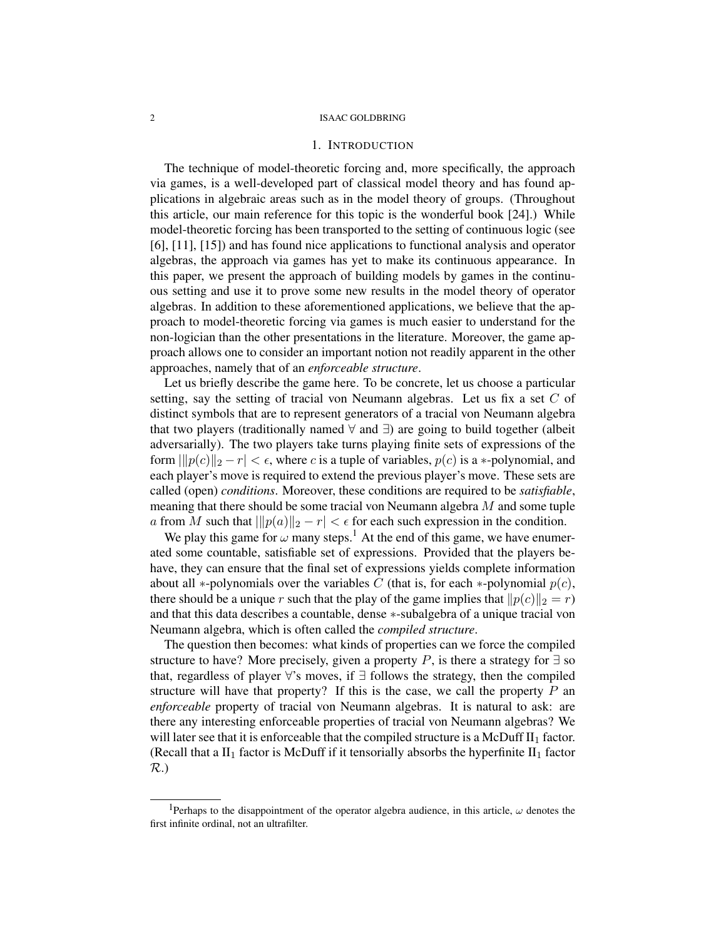### 1. INTRODUCTION

The technique of model-theoretic forcing and, more specifically, the approach via games, is a well-developed part of classical model theory and has found applications in algebraic areas such as in the model theory of groups. (Throughout this article, our main reference for this topic is the wonderful book [24].) While model-theoretic forcing has been transported to the setting of continuous logic (see [6], [11], [15]) and has found nice applications to functional analysis and operator algebras, the approach via games has yet to make its continuous appearance. In this paper, we present the approach of building models by games in the continuous setting and use it to prove some new results in the model theory of operator algebras. In addition to these aforementioned applications, we believe that the approach to model-theoretic forcing via games is much easier to understand for the non-logician than the other presentations in the literature. Moreover, the game approach allows one to consider an important notion not readily apparent in the other approaches, namely that of an *enforceable structure*.

Let us briefly describe the game here. To be concrete, let us choose a particular setting, say the setting of tracial von Neumann algebras. Let us fix a set  $C$  of distinct symbols that are to represent generators of a tracial von Neumann algebra that two players (traditionally named ∀ and ∃) are going to build together (albeit adversarially). The two players take turns playing finite sets of expressions of the form  $\|p(c)\|_2 - r| < \epsilon$ , where c is a tuple of variables,  $p(c)$  is a  $\ast$ -polynomial, and each player's move is required to extend the previous player's move. These sets are called (open) *conditions*. Moreover, these conditions are required to be *satisfiable*, meaning that there should be some tracial von Neumann algebra M and some tuple a from M such that  $\|p(a)\|_2 - r| < \epsilon$  for each such expression in the condition.

We play this game for  $\omega$  many steps.<sup>1</sup> At the end of this game, we have enumerated some countable, satisfiable set of expressions. Provided that the players behave, they can ensure that the final set of expressions yields complete information about all ∗-polynomials over the variables C (that is, for each  $*$ -polynomial  $p(c)$ , there should be a unique r such that the play of the game implies that  $||p(c)||_2 = r$ ) and that this data describes a countable, dense ∗-subalgebra of a unique tracial von Neumann algebra, which is often called the *compiled structure*.

The question then becomes: what kinds of properties can we force the compiled structure to have? More precisely, given a property P, is there a strategy for  $\exists$  so that, regardless of player  $\forall$ 's moves, if  $\exists$  follows the strategy, then the compiled structure will have that property? If this is the case, we call the property  $P$  an *enforceable* property of tracial von Neumann algebras. It is natural to ask: are there any interesting enforceable properties of tracial von Neumann algebras? We will later see that it is enforceable that the compiled structure is a McDuff  $II_1$  factor. (Recall that a  $II_1$  factor is McDuff if it tensorially absorbs the hyperfinite  $II_1$  factor R.)

<sup>&</sup>lt;sup>1</sup>Perhaps to the disappointment of the operator algebra audience, in this article,  $\omega$  denotes the first infinite ordinal, not an ultrafilter.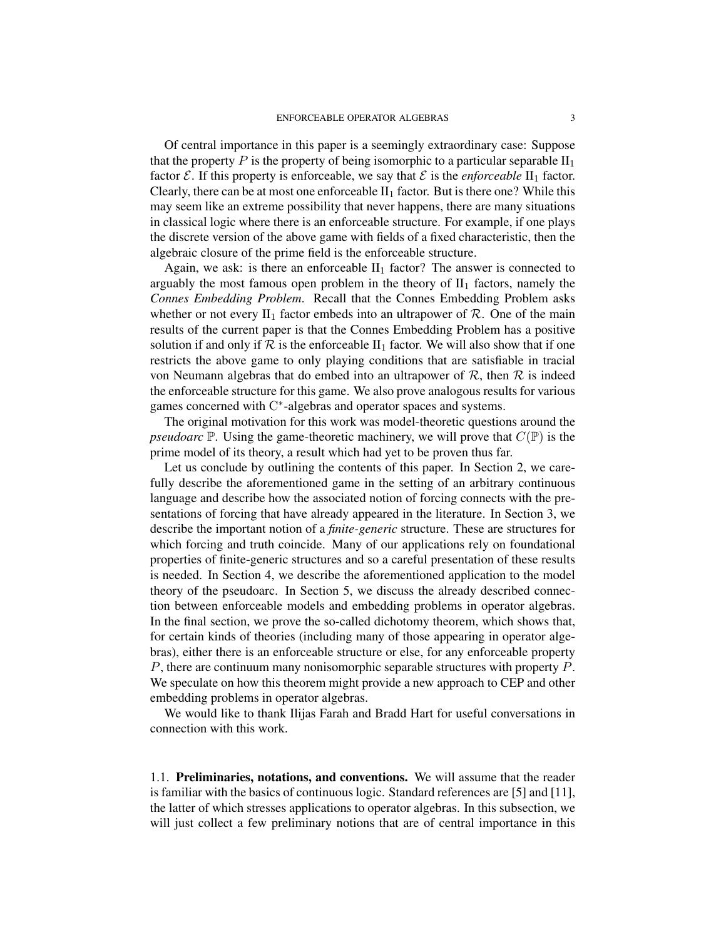Of central importance in this paper is a seemingly extraordinary case: Suppose that the property P is the property of being isomorphic to a particular separable  $II_1$ factor  $\mathcal E$ . If this property is enforceable, we say that  $\mathcal E$  is the *enforceable*  $\mathrm{II}_1$  factor. Clearly, there can be at most one enforceable  $II_1$  factor. But is there one? While this may seem like an extreme possibility that never happens, there are many situations in classical logic where there is an enforceable structure. For example, if one plays the discrete version of the above game with fields of a fixed characteristic, then the algebraic closure of the prime field is the enforceable structure.

Again, we ask: is there an enforceable  $II_1$  factor? The answer is connected to arguably the most famous open problem in the theory of  $II_1$  factors, namely the *Connes Embedding Problem*. Recall that the Connes Embedding Problem asks whether or not every  $II_1$  factor embeds into an ultrapower of  $R$ . One of the main results of the current paper is that the Connes Embedding Problem has a positive solution if and only if  $R$  is the enforceable  $II_1$  factor. We will also show that if one restricts the above game to only playing conditions that are satisfiable in tracial von Neumann algebras that do embed into an ultrapower of  $\mathcal{R}$ , then  $\mathcal{R}$  is indeed the enforceable structure for this game. We also prove analogous results for various games concerned with C\*-algebras and operator spaces and systems.

The original motivation for this work was model-theoretic questions around the *pseudoarc*  $\mathbb P$ . Using the game-theoretic machinery, we will prove that  $C(\mathbb P)$  is the prime model of its theory, a result which had yet to be proven thus far.

Let us conclude by outlining the contents of this paper. In Section 2, we carefully describe the aforementioned game in the setting of an arbitrary continuous language and describe how the associated notion of forcing connects with the presentations of forcing that have already appeared in the literature. In Section 3, we describe the important notion of a *finite-generic* structure. These are structures for which forcing and truth coincide. Many of our applications rely on foundational properties of finite-generic structures and so a careful presentation of these results is needed. In Section 4, we describe the aforementioned application to the model theory of the pseudoarc. In Section 5, we discuss the already described connection between enforceable models and embedding problems in operator algebras. In the final section, we prove the so-called dichotomy theorem, which shows that, for certain kinds of theories (including many of those appearing in operator algebras), either there is an enforceable structure or else, for any enforceable property P, there are continuum many nonisomorphic separable structures with property P. We speculate on how this theorem might provide a new approach to CEP and other embedding problems in operator algebras.

We would like to thank Ilijas Farah and Bradd Hart for useful conversations in connection with this work.

1.1. Preliminaries, notations, and conventions. We will assume that the reader is familiar with the basics of continuous logic. Standard references are [5] and [11], the latter of which stresses applications to operator algebras. In this subsection, we will just collect a few preliminary notions that are of central importance in this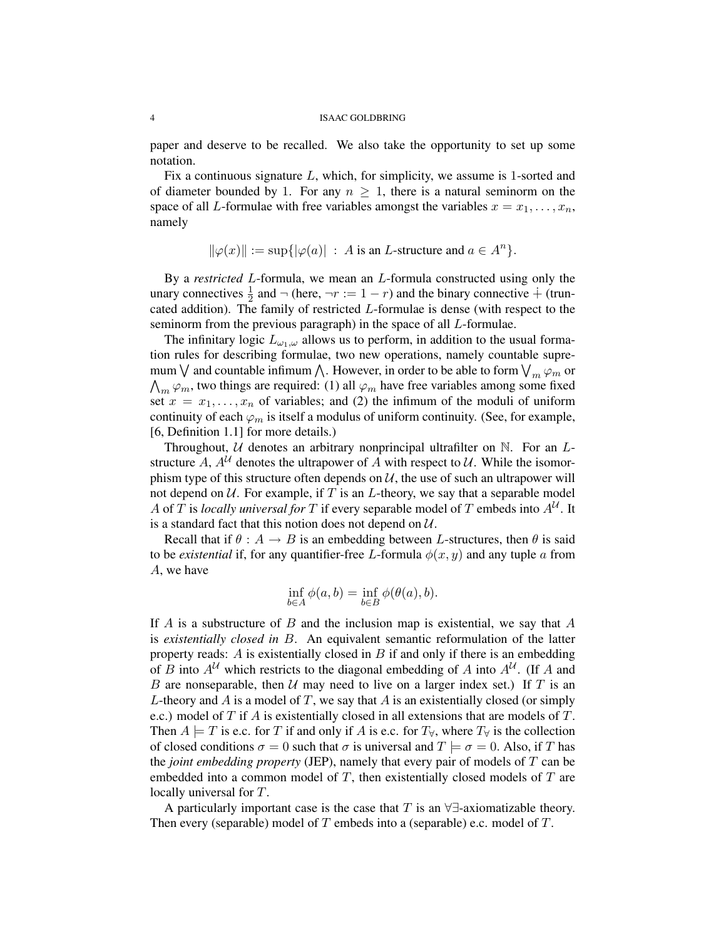paper and deserve to be recalled. We also take the opportunity to set up some notation.

Fix a continuous signature L, which, for simplicity, we assume is 1-sorted and of diameter bounded by 1. For any  $n \geq 1$ , there is a natural seminorm on the space of all L-formulae with free variables amongst the variables  $x = x_1, \ldots, x_n$ , namely

$$
\|\varphi(x)\| := \sup\{|\varphi(a)| \ : \ A \text{ is an } L\text{-structure and } a \in A^n\}.
$$

By a *restricted* L-formula, we mean an L-formula constructed using only the unary connectives  $\frac{1}{2}$  and  $\neg$  (here,  $\neg r := 1 - r$ ) and the binary connective  $\dot{+}$  (truncated addition). The family of restricted L-formulae is dense (with respect to the seminorm from the previous paragraph) in the space of all L-formulae.

The infinitary logic  $L_{\omega_1,\omega}$  allows us to perform, in addition to the usual formation rules for describing formulae, two new operations, namely countable supremum  $\bigvee$  and countable infimum  $\bigwedge$ . However, in order to be able to form  $\bigvee_m \varphi_m$  or  $\bigwedge_m \varphi_m$ , two things are required: (1) all  $\varphi_m$  have free variables among some fixed set  $x = x_1, \ldots, x_n$  of variables; and (2) the infimum of the moduli of uniform continuity of each  $\varphi_m$  is itself a modulus of uniform continuity. (See, for example, [6, Definition 1.1] for more details.)

Throughout,  $U$  denotes an arbitrary nonprincipal ultrafilter on  $N$ . For an  $L$ structure A,  $A^U$  denotes the ultrapower of A with respect to U. While the isomorphism type of this structure often depends on  $U$ , the use of such an ultrapower will not depend on  $U$ . For example, if T is an L-theory, we say that a separable model A of T is *locally universal for* T if every separable model of T embeds into  $A^U$ . It is a standard fact that this notion does not depend on  $U$ .

Recall that if  $\theta : A \to B$  is an embedding between L-structures, then  $\theta$  is said to be *existential* if, for any quantifier-free L-formula  $\phi(x, y)$  and any tuple a from A, we have

$$
\inf_{b \in A} \phi(a, b) = \inf_{b \in B} \phi(\theta(a), b).
$$

If A is a substructure of B and the inclusion map is existential, we say that A is *existentially closed in* B. An equivalent semantic reformulation of the latter property reads:  $A$  is existentially closed in  $B$  if and only if there is an embedding of B into  $A^{\mathcal{U}}$  which restricts to the diagonal embedding of A into  $A^{\mathcal{U}}$ . (If A and B are nonseparable, then  $U$  may need to live on a larger index set.) If T is an L-theory and A is a model of T, we say that A is an existentially closed (or simply e.c.) model of T if A is existentially closed in all extensions that are models of T. Then  $A \models T$  is e.c. for T if and only if A is e.c. for  $T_\forall$ , where  $T_\forall$  is the collection of closed conditions  $\sigma = 0$  such that  $\sigma$  is universal and  $T \models \sigma = 0$ . Also, if T has the *joint embedding property* (JEP), namely that every pair of models of T can be embedded into a common model of  $T$ , then existentially closed models of  $T$  are locally universal for T.

A particularly important case is the case that T is an  $\forall \exists$ -axiomatizable theory. Then every (separable) model of T embeds into a (separable) e.c. model of  $T$ .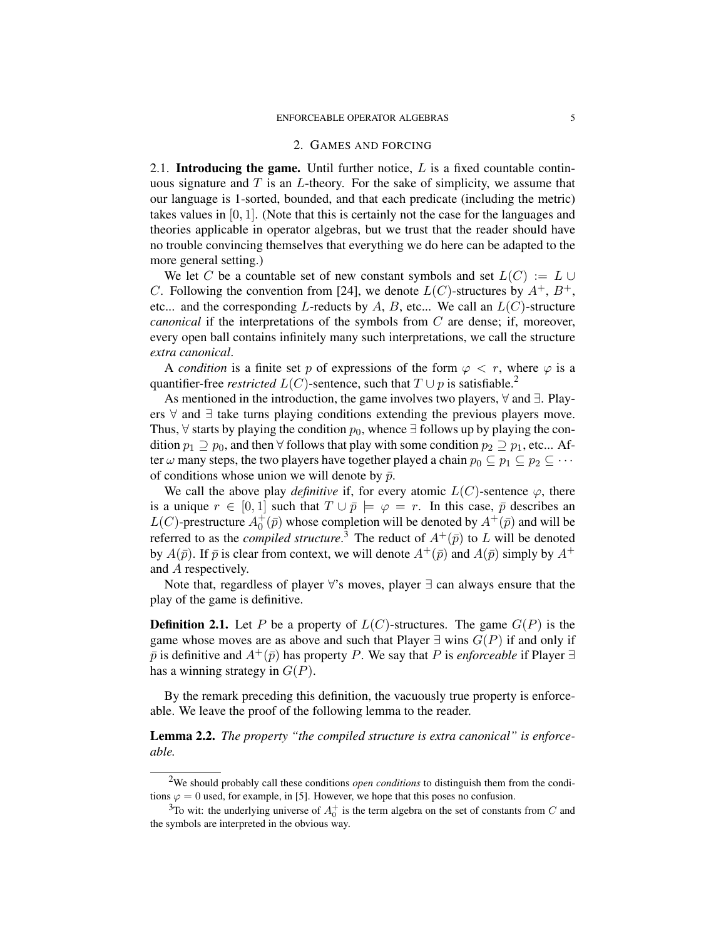#### 2. GAMES AND FORCING

2.1. **Introducing the game.** Until further notice,  $L$  is a fixed countable continuous signature and  $T$  is an  $L$ -theory. For the sake of simplicity, we assume that our language is 1-sorted, bounded, and that each predicate (including the metric) takes values in [0, 1]. (Note that this is certainly not the case for the languages and theories applicable in operator algebras, but we trust that the reader should have no trouble convincing themselves that everything we do here can be adapted to the more general setting.)

We let C be a countable set of new constant symbols and set  $L(C) := L \cup$ C. Following the convention from [24], we denote  $L(C)$ -structures by  $A^+, B^+,$ etc... and the corresponding L-reducts by A, B, etc... We call an  $L(C)$ -structure *canonical* if the interpretations of the symbols from C are dense; if, moreover, every open ball contains infinitely many such interpretations, we call the structure *extra canonical*.

A *condition* is a finite set p of expressions of the form  $\varphi \langle r, r \rangle$ , where  $\varphi$  is a quantifier-free *restricted*  $L(C)$ -sentence, such that  $T \cup p$  is satisfiable.<sup>2</sup>

As mentioned in the introduction, the game involves two players, ∀ and ∃. Players ∀ and ∃ take turns playing conditions extending the previous players move. Thus,  $\forall$  starts by playing the condition  $p_0$ , whence ∃ follows up by playing the condition  $p_1 \supseteq p_0$ , and then  $\forall$  follows that play with some condition  $p_2 \supseteq p_1$ , etc... After  $\omega$  many steps, the two players have together played a chain  $p_0 \subseteq p_1 \subseteq p_2 \subseteq \cdots$ of conditions whose union we will denote by  $\bar{p}$ .

We call the above play *definitive* if, for every atomic  $L(C)$ -sentence  $\varphi$ , there is a unique  $r \in [0, 1]$  such that  $T \cup \bar{p} \models \varphi = r$ . In this case,  $\bar{p}$  describes an  $L(C)$ -prestructure  $A_0^+(\bar{p})$  whose completion will be denoted by  $A^+(\bar{p})$  and will be referred to as the *compiled structure*.<sup>3</sup> The reduct of  $A^+(\bar{p})$  to L will be denoted by  $A(\bar{p})$ . If  $\bar{p}$  is clear from context, we will denote  $A^+(\bar{p})$  and  $A(\bar{p})$  simply by  $A^+$ and A respectively.

Note that, regardless of player ∀'s moves, player ∃ can always ensure that the play of the game is definitive.

**Definition 2.1.** Let P be a property of  $L(C)$ -structures. The game  $G(P)$  is the game whose moves are as above and such that Player  $\exists$  wins  $G(P)$  if and only if  $\bar{p}$  is definitive and  $A^+(\bar{p})$  has property P. We say that P is *enforceable* if Player  $\exists$ has a winning strategy in  $G(P)$ .

By the remark preceding this definition, the vacuously true property is enforceable. We leave the proof of the following lemma to the reader.

Lemma 2.2. *The property "the compiled structure is extra canonical" is enforceable.*

<sup>2</sup>We should probably call these conditions *open conditions* to distinguish them from the conditions  $\varphi = 0$  used, for example, in [5]. However, we hope that this poses no confusion.

<sup>&</sup>lt;sup>3</sup>To wit: the underlying universe of  $A_0^+$  is the term algebra on the set of constants from C and the symbols are interpreted in the obvious way.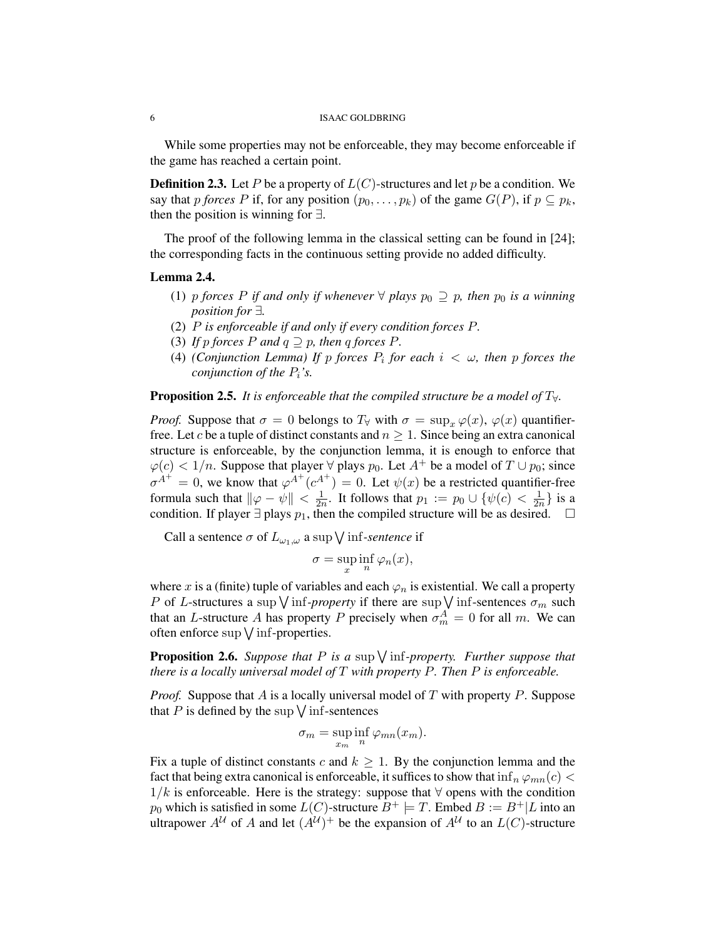While some properties may not be enforceable, they may become enforceable if the game has reached a certain point.

**Definition 2.3.** Let P be a property of  $L(C)$ -structures and let p be a condition. We say that p *forces* P if, for any position  $(p_0, \ldots, p_k)$  of the game  $G(P)$ , if  $p \subseteq p_k$ , then the position is winning for  $\exists$ .

The proof of the following lemma in the classical setting can be found in [24]; the corresponding facts in the continuous setting provide no added difficulty.

#### Lemma 2.4.

- (1) p *forces* P *if and only if whenever*  $\forall$  *plays*  $p_0 \supseteq p$ *, then*  $p_0$  *is a winning position for* ∃*.*
- (2) P *is enforceable if and only if every condition forces* P*.*
- (3) *If* p *forces*  $P$  *and*  $q \supseteq p$ *, then*  $q$  *forces*  $P$ *.*
- (4) *(Conjunction Lemma)* If p forces  $P_i$  for each  $i < \omega$ , then p forces the *conjunction of the* Pi*'s.*

**Proposition 2.5.** *It is enforceable that the compiled structure be a model of*  $T_{\forall}$ *.* 

*Proof.* Suppose that  $\sigma = 0$  belongs to  $T_\forall$  with  $\sigma = \sup_x \varphi(x)$ ,  $\varphi(x)$  quantifierfree. Let c be a tuple of distinct constants and  $n \geq 1$ . Since being an extra canonical structure is enforceable, by the conjunction lemma, it is enough to enforce that  $\varphi(c) < 1/n$ . Suppose that player  $\forall$  plays  $p_0$ . Let  $A^+$  be a model of  $T \cup p_0$ ; since  $\sigma^{A^+} = 0$ , we know that  $\varphi^{A^+}(c^{A^+}) = 0$ . Let  $\psi(x)$  be a restricted quantifier-free formula such that  $\|\varphi - \psi\| < \frac{1}{2\pi}$  $\frac{1}{2n}$ . It follows that  $p_1 := p_0 \cup \{\psi(c) < \frac{1}{2n}\}$  $\frac{1}{2n}$  is a condition. If player  $\exists$  plays  $p_1$ , then the compiled structure will be as desired.  $\square$ 

Call a sentence  $\sigma$  of  $L_{\omega_1,\omega}$  a sup  $\bigvee$  inf-*sentence* if

$$
\sigma = \sup_{x} \inf_{n} \varphi_n(x),
$$

where x is a (finite) tuple of variables and each  $\varphi_n$  is existential. We call a property P of L-structures a sup  $\vee$  inf-*property* if there are sup  $\vee$  inf-sentences  $\sigma_m$  such that an L-structure A has property P precisely when  $\sigma_m^A = 0$  for all m. We can often enforce  $\sup \bigvee \inf$ -properties.

**Proposition 2.6.** Suppose that  $P$  is a sup  $\bigvee$  inf-property. Further suppose that *there is a locally universal model of* T *with property* P*. Then* P *is enforceable.*

*Proof.* Suppose that A is a locally universal model of T with property P. Suppose that P is defined by the sup  $\sqrt{\inf}$ -sentences

$$
\sigma_m = \sup_{x_m} \inf_n \varphi_{mn}(x_m).
$$

Fix a tuple of distinct constants c and  $k \geq 1$ . By the conjunction lemma and the fact that being extra canonical is enforceable, it suffices to show that  $\inf_n \varphi_{mn}(c)$  $1/k$  is enforceable. Here is the strategy: suppose that  $\forall$  opens with the condition  $p_0$  which is satisfied in some  $L(C)$ -structure  $B^+ \models T$ . Embed  $B := B^+ | L$  into an ultrapower  $A^{\mathcal{U}}$  of A and let  $(A^{\mathcal{U}})^+$  be the expansion of  $A^{\mathcal{U}}$  to an  $L(C)$ -structure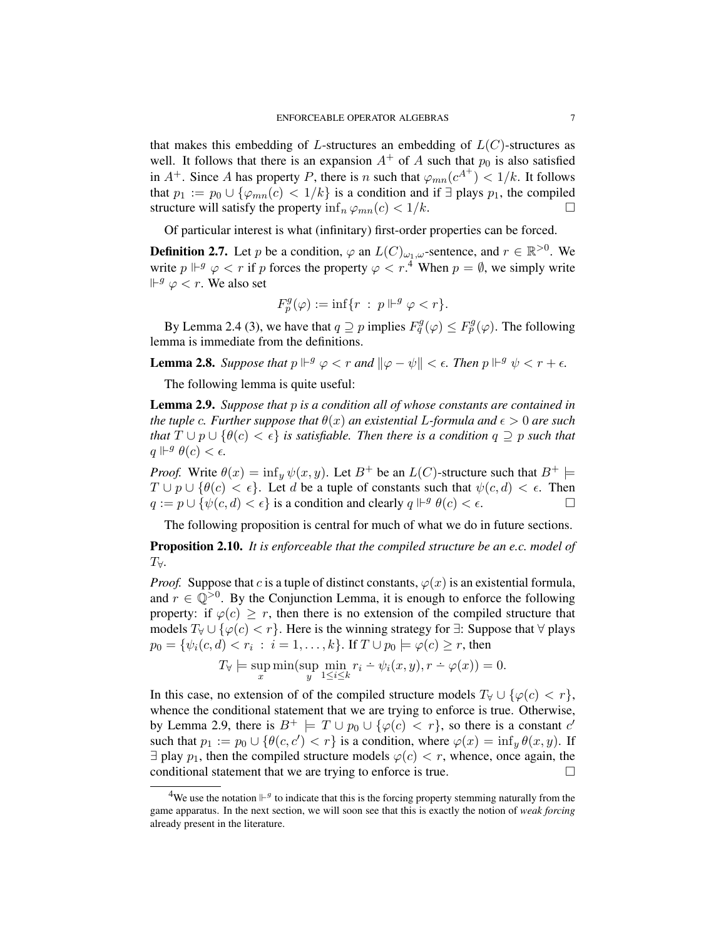that makes this embedding of L-structures an embedding of  $L(C)$ -structures as well. It follows that there is an expansion  $A^+$  of A such that  $p_0$  is also satisfied in  $A^+$ . Since A has property P, there is n such that  $\varphi_{mn}(c^{A^+}) < 1/k$ . It follows that  $p_1 := p_0 \cup {\varphi_{mn}(c) < 1/k}$  is a condition and if  $\exists$  plays  $p_1$ , the compiled structure will satisfy the property  $\inf_n \varphi_{mn}(c) < 1/k$ .

Of particular interest is what (infinitary) first-order properties can be forced.

**Definition 2.7.** Let p be a condition,  $\varphi$  an  $L(C)_{\omega_1,\omega}$ -sentence, and  $r \in \mathbb{R}^{>0}$ . We write  $p \Vdash^g \varphi < r$  if p forces the property  $\varphi < r$ .<sup>4</sup> When  $p = \emptyset$ , we simply write  $\mathbb{H}^g \varphi < r$ . We also set

$$
F_p^g(\varphi) := \inf\{r \ : \ p \Vdash^g \varphi < r\}.
$$

By Lemma 2.4 (3), we have that  $q \supseteq p$  implies  $F_q^g(\varphi) \leq F_p^g(\varphi)$ . The following lemma is immediate from the definitions.

**Lemma 2.8.** Suppose that  $p \Vdash^g \varphi < r$  and  $\|\varphi - \psi\| < \epsilon$ . Then  $p \Vdash^g \psi < r + \epsilon$ .

The following lemma is quite useful:

Lemma 2.9. *Suppose that* p *is a condition all of whose constants are contained in the tuple c. Further suppose that*  $\theta(x)$  *an existential* L-formula and  $\epsilon > 0$  are such *that*  $T \cup p \cup \{\theta(c) < \epsilon\}$  *is satisfiable. Then there is a condition*  $q \supseteq p$  *such that*  $q \Vdash^g \theta(c) < \epsilon.$ 

*Proof.* Write  $\theta(x) = \inf_y \psi(x, y)$ . Let  $B^+$  be an  $L(C)$ -structure such that  $B^+$   $\models$  $T \cup p \cup \{ \theta(c) < \epsilon \}.$  Let d be a tuple of constants such that  $\psi(c, d) < \epsilon$ . Then  $q := p \cup \{ \psi(c, d) < \epsilon \}$  is a condition and clearly  $q \Vdash^g \theta(c) < \epsilon$ .

The following proposition is central for much of what we do in future sections.

Proposition 2.10. *It is enforceable that the compiled structure be an e.c. model of* T∀*.*

*Proof.* Suppose that c is a tuple of distinct constants,  $\varphi(x)$  is an existential formula, and  $r \in \mathbb{Q}^{>0}$ . By the Conjunction Lemma, it is enough to enforce the following property: if  $\varphi(c) > r$ , then there is no extension of the compiled structure that models  $T_\forall \cup \{\varphi(c) < r\}$ . Here is the winning strategy for  $\exists$ : Suppose that  $\forall$  plays  $p_0 = \{ \psi_i(c, d) < r_i \; : \; i = 1, \dots, k \}.$  If  $T \cup p_0 \models \varphi(c) \geq r$ , then

$$
T_{\forall} \models \sup_{x} \min(\sup_{y} \min_{1 \leq i \leq k} r_i \div \psi_i(x, y), r \div \varphi(x)) = 0.
$$

In this case, no extension of of the compiled structure models  $T_\forall \cup \{ \varphi(c) < r \},$ whence the conditional statement that we are trying to enforce is true. Otherwise, by Lemma 2.9, there is  $B^+ \models T \cup p_0 \cup \{\varphi(c) < r\}$ , so there is a constant  $c'$ such that  $p_1 := p_0 \cup \{ \theta(c, c') < r \}$  is a condition, where  $\varphi(x) = \inf_y \theta(x, y)$ . If  $\exists$  play  $p_1$ , then the compiled structure models  $\varphi(c) < r$ , whence, once again, the conditional statement that we are trying to enforce is true.

<sup>&</sup>lt;sup>4</sup>We use the notation  $\mathbb{H}^g$  to indicate that this is the forcing property stemming naturally from the game apparatus. In the next section, we will soon see that this is exactly the notion of *weak forcing* already present in the literature.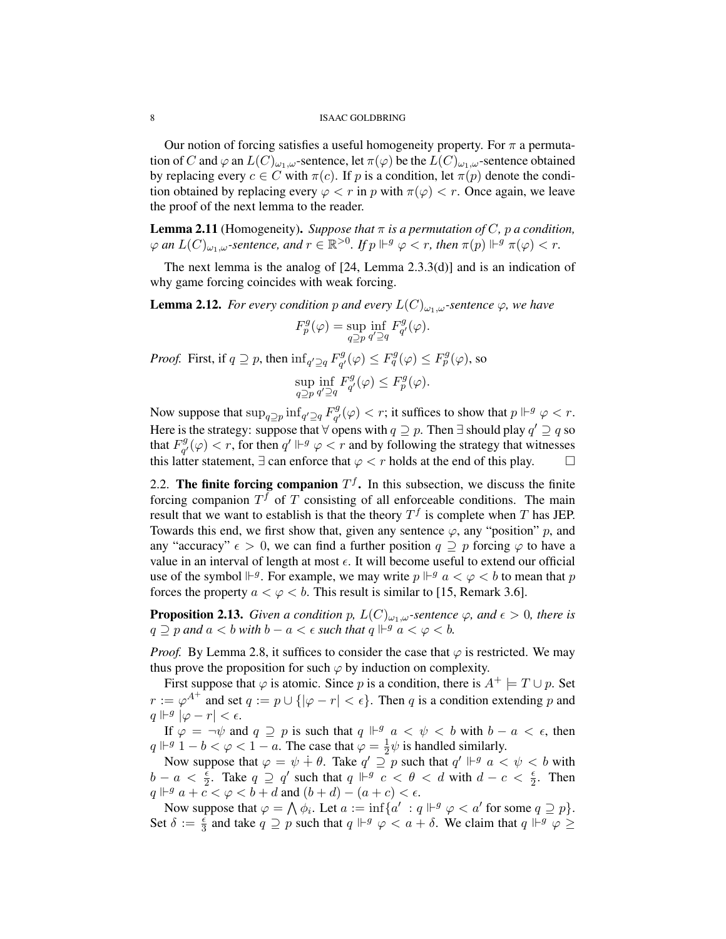Our notion of forcing satisfies a useful homogeneity property. For  $\pi$  a permutation of C and  $\varphi$  an  $L(C)_{\omega_1,\omega}$ -sentence, let  $\pi(\varphi)$  be the  $L(C)_{\omega_1,\omega}$ -sentence obtained by replacing every  $c \in C$  with  $\pi(c)$ . If p is a condition, let  $\pi(p)$  denote the condition obtained by replacing every  $\varphi < r$  in p with  $\pi(\varphi) < r$ . Once again, we leave the proof of the next lemma to the reader.

**Lemma 2.11** (Homogeneity). *Suppose that*  $\pi$  *is a permutation of* C, p *a condition*,  $\varphi$  an  $L(C)_{\omega_1,\omega}$ -sentence, and  $r \in \mathbb{R}^{>0}$ . If  $p \Vdash^g \varphi < r$ , then  $\pi(p) \Vdash^g \pi(\varphi) < r$ .

The next lemma is the analog of [24, Lemma 2.3.3(d)] and is an indication of why game forcing coincides with weak forcing.

**Lemma 2.12.** *For every condition* p and every  $L(C)_{\omega_1,\omega}$ -sentence  $\varphi$ , we have

$$
F_p^g(\varphi) = \sup_{q \supseteq p} \inf_{q' \supseteq q} F_{q'}^g(\varphi).
$$

*Proof.* First, if  $q \supseteq p$ , then  $\inf_{q' \supseteq q} F_{q'}^g$  $F^g_{q'}(\varphi) \leq F^g_{q}(\varphi) \leq F^g_{p}(\varphi)$ , so

$$
\sup_{q \supseteq p} \inf_{q' \supseteq q} F_{q'}^g(\varphi) \le F_p^g(\varphi).
$$

Now suppose that  $\sup_{q \supseteq p} \inf_{q' \supseteq q} F_{q'}^g$  $g_q^g(\varphi) < r$ ; it suffices to show that  $p \Vdash^g \varphi < r$ . Here is the strategy: suppose that  $\forall$  opens with  $q \supseteq p$ . Then  $\exists$  should play  $q' \supseteq q$  so that  $F_{a'}^g$  $g_q^g(\varphi) < r$ , for then  $q' \Vdash^g \varphi < r$  and by following the strategy that witnesses this latter statement,  $\exists$  can enforce that  $\varphi < r$  holds at the end of this play.  $\square$ 

2.2. The finite forcing companion  $T<sup>f</sup>$ . In this subsection, we discuss the finite forcing companion  $T<sup>f</sup>$  of T consisting of all enforceable conditions. The main result that we want to establish is that the theory  $T<sup>f</sup>$  is complete when T has JEP. Towards this end, we first show that, given any sentence  $\varphi$ , any "position" p, and any "accuracy"  $\epsilon > 0$ , we can find a further position  $q \supseteq p$  forcing  $\varphi$  to have a value in an interval of length at most  $\epsilon$ . It will become useful to extend our official use of the symbol  $\mathbb{H}^g$ . For example, we may write  $p \mathbb{H}^g$   $a < \varphi < b$  to mean that p forces the property  $a < \varphi < b$ . This result is similar to [15, Remark 3.6].

**Proposition 2.13.** *Given a condition p,*  $L(C)_{\omega_1,\omega}$ *-sentence*  $\varphi$ *, and*  $\epsilon > 0$ *, there is*  $q \supseteq p$  and  $a < b$  with  $b - a < \epsilon$  such that  $q \Vdash^g a < \varphi < b$ .

*Proof.* By Lemma 2.8, it suffices to consider the case that  $\varphi$  is restricted. We may thus prove the proposition for such  $\varphi$  by induction on complexity.

First suppose that  $\varphi$  is atomic. Since p is a condition, there is  $A^+ \models T \cup p$ . Set  $r := \varphi^{A^+}$  and set  $q := p \cup \{ |\varphi - r| < \epsilon \}.$  Then q is a condition extending p and  $q \Vdash^g |\varphi - r| < \epsilon.$ 

If  $\varphi = \neg \psi$  and  $q \supseteq p$  is such that  $q \Vdash^g a < \psi < b$  with  $b - a < \epsilon$ , then  $q \Vdash^g 1 - b < \varphi < 1 - a$ . The case that  $\varphi = \frac{1}{2}$  $\frac{1}{2}\psi$  is handled similarly.

Now suppose that  $\varphi = \psi + \theta$ . Take  $q' \supseteq p$  such that  $q' \Vdash^g a < \psi < b$  with  $b - a < \frac{\epsilon}{2}$ . Take  $q \supseteq q'$  such that  $q \Vdash^g c < \theta < d$  with  $d - c < \frac{\epsilon}{2}$ . Then  $q \Vdash^g a + c < \varphi < b + d$  and  $(b + d) - (a + c) < \epsilon$ .

Now suppose that  $\varphi = \bigwedge \phi_i$ . Let  $a := \inf \{a' : q \Vdash^g \varphi < a'$  for some  $q \supseteq p\}$ . Set  $\delta := \frac{\epsilon}{3}$  and take  $q \supseteq p$  such that  $q \Vdash^g \varphi < a + \delta$ . We claim that  $q \Vdash^g \varphi \geq$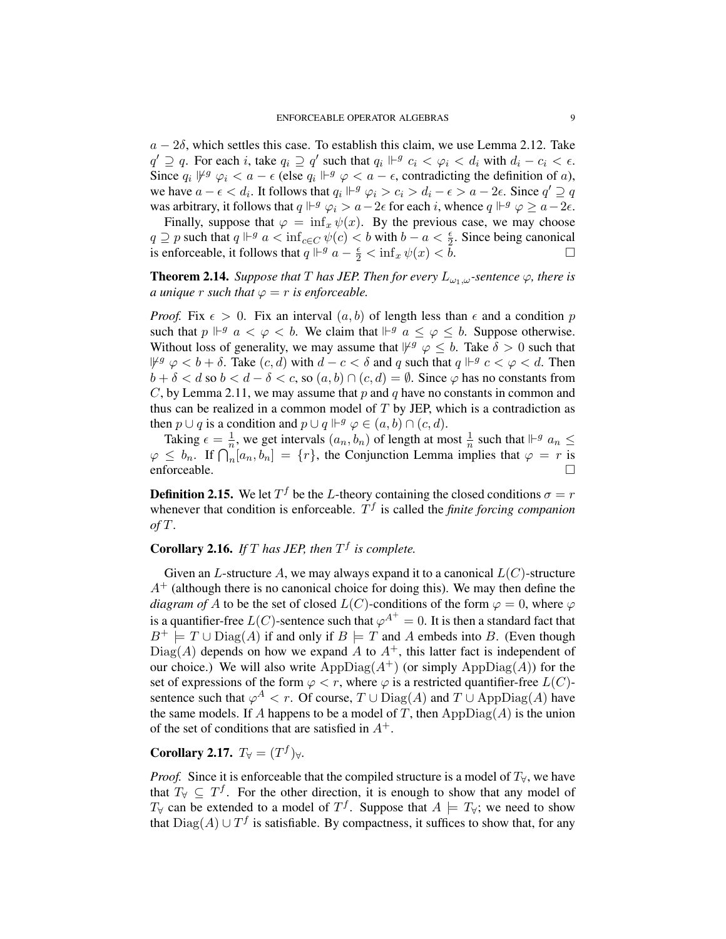$a - 2\delta$ , which settles this case. To establish this claim, we use Lemma 2.12. Take  $q' \supseteq q$ . For each i, take  $q_i \supseteq q'$  such that  $q_i \Vdash^g c_i < \varphi_i < d_i$  with  $d_i - c_i < \epsilon$ . Since  $q_i \,\,\psi^g \,\,\varphi_i < a - \epsilon$  (else  $q_i \,\,\Vdash^g \varphi < a - \epsilon$ , contradicting the definition of a), we have  $a - \epsilon < d_i$ . It follows that  $q_i \Vdash^g \varphi_i > c_i > d_i - \epsilon > a - 2\epsilon$ . Since  $q' \supseteq q$ was arbitrary, it follows that  $q \Vdash^g \varphi_i > a - 2\epsilon$  for each i, whence  $q \Vdash^g \varphi \ge a - 2\epsilon$ .

Finally, suppose that  $\varphi = \inf_x \psi(x)$ . By the previous case, we may choose  $q \supseteq p$  such that  $q \Vdash^g a < \inf_{c \in C} \psi(c) < b$  with  $b - a < \frac{\epsilon}{2}$ . Since being canonical is enforceable, it follows that  $q \Vdash^g a - \frac{\epsilon}{2} < \inf_x \psi(x) < \tilde{b}$ .

**Theorem 2.14.** *Suppose that* T *has JEP. Then for every*  $L_{\omega_1,\omega}$ -sentence  $\varphi$ *, there is a unique r such that*  $\varphi = r$  *is enforceable.* 

*Proof.* Fix  $\epsilon > 0$ . Fix an interval  $(a, b)$  of length less than  $\epsilon$  and a condition p such that  $p \Vdash^g a < \varphi < b$ . We claim that  $\Vdash^g a \leq \varphi \leq b$ . Suppose otherwise. Without loss of generality, we may assume that  $\forall^g \varphi \leq b$ . Take  $\delta > 0$  such that  $\forall^g \varphi < b + \delta$ . Take  $(c, d)$  with  $d - c < \delta$  and q such that  $q \Vdash^g c < \varphi < d$ . Then  $b + \delta < d$  so  $b < d - \delta < c$ , so  $(a, b) \cap (c, d) = \emptyset$ . Since  $\varphi$  has no constants from C, by Lemma 2.11, we may assume that p and q have no constants in common and thus can be realized in a common model of  $T$  by JEP, which is a contradiction as then  $p \cup q$  is a condition and  $p \cup q \Vdash^g \varphi \in (a, b) \cap (c, d)$ .

Taking  $\epsilon = \frac{1}{n}$  $\frac{1}{n}$ , we get intervals  $(a_n, b_n)$  of length at most  $\frac{1}{n}$  such that  $\mathbb{H}^g$   $a_n \leq$  $\varphi \leq b_n$ . If  $\bigcap_n [a_n, b_n] = \{r\}$ , the Conjunction Lemma implies that  $\varphi = r$  is enforceable.

**Definition 2.15.** We let  $T^f$  be the L-theory containing the closed conditions  $\sigma = r$ whenever that condition is enforceable.  $T<sup>f</sup>$  is called the *finite forcing companion of* T.

# **Corollary 2.16.** If  $T$  has JEP, then  $T<sup>f</sup>$  is complete.

Given an L-structure A, we may always expand it to a canonical  $L(C)$ -structure  $A^+$  (although there is no canonical choice for doing this). We may then define the *diagram of* A to be the set of closed  $L(C)$ -conditions of the form  $\varphi = 0$ , where  $\varphi$ is a quantifier-free  $L(C)$ -sentence such that  $\varphi^{A^+}=0$ . It is then a standard fact that  $B^+ \models T \cup \text{Diag}(A)$  if and only if  $B \models T$  and A embeds into B. (Even though  $Diag(A)$  depends on how we expand A to  $A^+$ , this latter fact is independent of our choice.) We will also write  $AppDiag(A^+)$  (or simply  $AppDiag(A)$ ) for the set of expressions of the form  $\varphi < r$ , where  $\varphi$  is a restricted quantifier-free  $L(C)$ sentence such that  $\varphi^A < r$ . Of course,  $T \cup \text{Diag}(A)$  and  $T \cup \text{AppDiag}(A)$  have the same models. If A happens to be a model of T, then  $\mathrm{AppDiag}(A)$  is the union of the set of conditions that are satisfied in  $A^+$ .

# Corollary 2.17.  $T_{\forall} = (T^f)_{\forall}$ .

*Proof.* Since it is enforceable that the compiled structure is a model of  $T_\forall$ , we have that  $T_\forall \subseteq T^f$ . For the other direction, it is enough to show that any model of  $T_\forall$  can be extended to a model of  $T^f$ . Suppose that  $A \models T_\forall$ ; we need to show that  $Diag(A) \cup T^f$  is satisfiable. By compactness, it suffices to show that, for any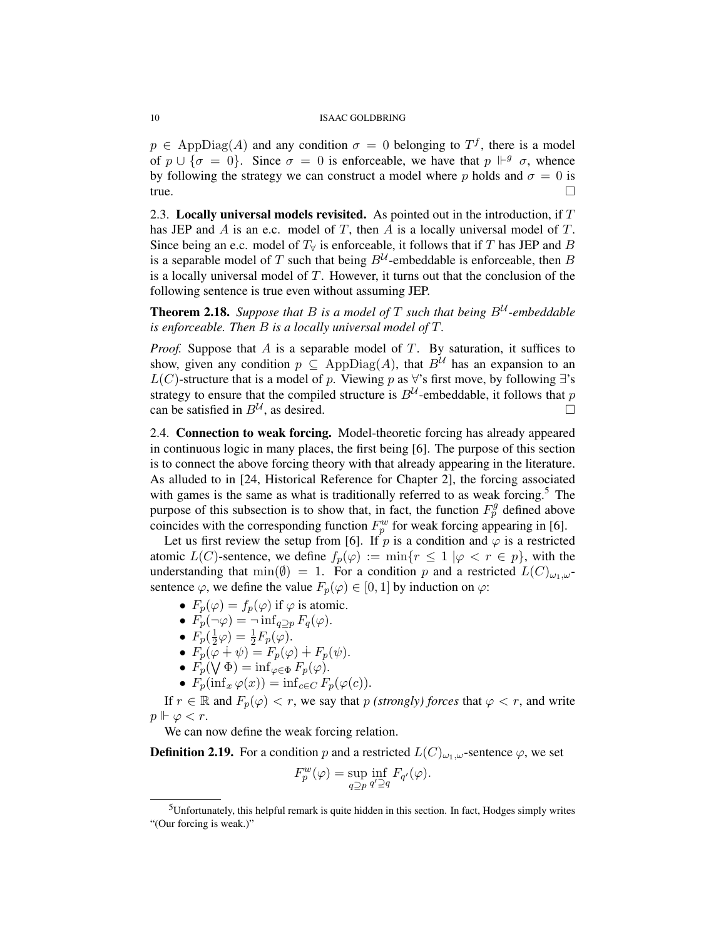$p \in \text{AppDiag}(A)$  and any condition  $\sigma = 0$  belonging to  $T<sup>f</sup>$ , there is a model of  $p \cup {\sigma = 0}$ . Since  $\sigma = 0$  is enforceable, we have that  $p \Vdash^g \sigma$ , whence by following the strategy we can construct a model where p holds and  $\sigma = 0$  is  $true.$ 

2.3. Locally universal models revisited. As pointed out in the introduction, if  $T$ has JEP and A is an e.c. model of T, then A is a locally universal model of T. Since being an e.c. model of  $T<sub>\forall</sub>$  is enforceable, it follows that if T has JEP and B is a separable model of T such that being  $B^{\mathcal{U}}$ -embeddable is enforceable, then B is a locally universal model of  $T$ . However, it turns out that the conclusion of the following sentence is true even without assuming JEP.

**Theorem 2.18.** Suppose that B is a model of T such that being  $B^{\mathcal{U}}$ -embeddable *is enforceable. Then* B *is a locally universal model of* T*.*

*Proof.* Suppose that A is a separable model of T. By saturation, it suffices to show, given any condition  $p \subseteq \mathrm{AppDiag}(A)$ , that  $B^{\mathcal{U}}$  has an expansion to an L(C)-structure that is a model of p. Viewing p as  $\forall$ 's first move, by following ∃'s strategy to ensure that the compiled structure is  $B^{\mathcal{U}}$ -embeddable, it follows that p can be satisfied in  $B^{\mathcal{U}}$ , as desired.

2.4. Connection to weak forcing. Model-theoretic forcing has already appeared in continuous logic in many places, the first being [6]. The purpose of this section is to connect the above forcing theory with that already appearing in the literature. As alluded to in [24, Historical Reference for Chapter 2], the forcing associated with games is the same as what is traditionally referred to as weak forcing.<sup>5</sup> The purpose of this subsection is to show that, in fact, the function  $F_p^g$  defined above coincides with the corresponding function  $F_p^w$  for weak forcing appearing in [6].

Let us first review the setup from [6]. If p is a condition and  $\varphi$  is a restricted atomic  $L(C)$ -sentence, we define  $f_p(\varphi) := \min\{r \leq 1 \mid \varphi < r \in p\}$ , with the understanding that min( $\emptyset$ ) = 1. For a condition p and a restricted  $L(C)_{\omega_1,\omega}$ sentence  $\varphi$ , we define the value  $F_p(\varphi) \in [0, 1]$  by induction on  $\varphi$ :

- $F_p(\varphi) = f_p(\varphi)$  if  $\varphi$  is atomic.
- $F_p(\neg \varphi) = \neg \inf_{q \supset p} F_q(\varphi)$ .
- $\bullet$   $F_p(\frac{1}{2}$  $(\frac{1}{2}\varphi) = \frac{1}{2}F_p(\varphi).$
- $F_p(\varphi + \psi) = F_p(\varphi) + F_p(\psi)$ .
- $F_p(\bigvee \Phi) = \inf_{\varphi \in \Phi} F_p(\varphi)$ .
- $F_p(\inf_x \varphi(x)) = \inf_{c \in C} F_p(\varphi(c)).$

If  $r \in \mathbb{R}$  and  $F_p(\varphi) < r$ , we say that p *(strongly) forces* that  $\varphi < r$ , and write  $p \Vdash \varphi < r$ .

We can now define the weak forcing relation.

**Definition 2.19.** For a condition p and a restricted  $L(C)_{\omega_1,\omega}$ -sentence  $\varphi$ , we set

$$
F_p^w(\varphi) = \sup_{q \supseteq p} \inf_{q' \supseteq q} F_{q'}(\varphi).
$$

<sup>5</sup>Unfortunately, this helpful remark is quite hidden in this section. In fact, Hodges simply writes "(Our forcing is weak.)"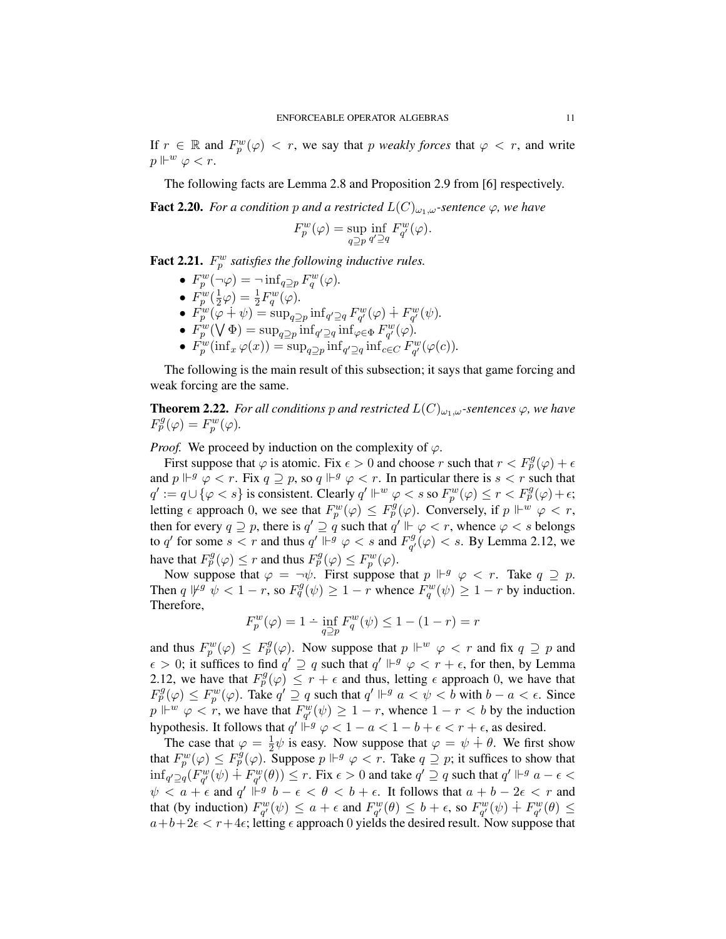If  $r \in \mathbb{R}$  and  $F_p^w(\varphi) < r$ , we say that p *weakly forces* that  $\varphi < r$ , and write  $p\Vdash^w \varphi < r.$ 

The following facts are Lemma 2.8 and Proposition 2.9 from [6] respectively.

**Fact 2.20.** *For a condition* p *and a restricted*  $L(C)_{\omega_1,\omega}$ *-sentence*  $\varphi$ *, we have* 

$$
F_p^w(\varphi) = \sup_{q \supseteq p} \inf_{q' \supseteq q} F_{q'}^w(\varphi).
$$

**Fact 2.21.**  $F_p^w$  satisfies the following inductive rules.

- $F_p^w(\neg \varphi) = \neg \inf_{q \supseteq p} F_q^w(\varphi)$ .
- $\bullet$   $F^w_p(\frac{1}{2})$  $(\frac{1}{2}\varphi) = \frac{1}{2}F_q^w(\varphi).$
- $F_p^w(\varphi + \psi) = \sup_{q \geq p} \inf_{q' \supseteq q} F_{q'}^w(\varphi) + F_{q'}^w(\psi)$ .
- $F_p^w(\bigvee \Phi) = \sup_{q \supseteq p} \inf_{q' \supseteq q} \inf_{\varphi \in \Phi} F_{q'}^w(\varphi)$ .
- $F_p^w(\inf_x \varphi(x)) = \sup_{q \supseteq p} \inf_{q' \supseteq q} \inf_{c \in C} F_{q'}^w(\varphi(c)).$

The following is the main result of this subsection; it says that game forcing and weak forcing are the same.

**Theorem 2.22.** *For all conditions* p *and restricted*  $L(C)_{\omega_1,\omega}$ -sentences  $\varphi$ *, we have*  $F_p^g(\varphi) = F_p^w(\varphi).$ 

*Proof.* We proceed by induction on the complexity of  $\varphi$ .

First suppose that  $\varphi$  is atomic. Fix  $\epsilon > 0$  and choose r such that  $r < F_p^g(\varphi) + \epsilon$ and  $p \Vdash^g \varphi < r$ . Fix  $q \supseteq p$ , so  $q \Vdash^g \varphi < r$ . In particular there is  $s < r$  such that  $q' := q \cup \{\varphi < s\}$  is consistent. Clearly  $q' \Vdash^w \varphi < s$  so  $F_p^w(\varphi) \le r < F_p^g(\varphi) + \epsilon;$ letting  $\epsilon$  approach 0, we see that  $F_p^w(\varphi) \leq F_p^{\hat{g}}(\varphi)$ . Conversely, if  $p \Vdash^w \varphi < r$ , then for every  $q \supseteq p$ , there is  $q' \supseteq q$  such that  $q' \Vdash \varphi < r$ , whence  $\varphi < s$  belongs to q' for some  $s < r$  and thus  $q' \Vdash^g \varphi < s$  and  $F^g_{\alpha'}$  $g_{q'}^g(\varphi) < s$ . By Lemma 2.12, we have that  $F_p^g(\varphi) \le r$  and thus  $F_p^g(\varphi) \le F_p^w(\varphi)$ .

Now suppose that  $\varphi = \neg \psi$ . First suppose that  $p \Vdash^g \varphi < r$ . Take  $q \supseteq p$ . Then  $q \not\Vdash^g \psi < 1-r$ , so  $F_q^g(\psi) \geq 1-r$  whence  $F_q^w(\psi) \geq 1-r$  by induction. Therefore,

$$
F_p^w(\varphi) = 1 - \inf_{q \ge p} F_q^w(\psi) \le 1 - (1 - r) = r
$$

and thus  $F_p^w(\varphi) \leq F_p^g(\varphi)$ . Now suppose that  $p \Vdash^w \varphi < r$  and fix  $q \supseteq p$  and  $\epsilon > 0$ ; it suffices to find  $q' \supseteq q$  such that  $q' \Vdash^g \varphi < r + \epsilon$ , for then, by Lemma 2.12, we have that  $F_p^g(\varphi) \leq r + \epsilon$  and thus, letting  $\epsilon$  approach 0, we have that  $F_p^g(\varphi) \leq F_p^w(\varphi)$ . Take  $q' \supseteq q$  such that  $q' \Vdash^g a < \psi < b$  with  $b - a < \epsilon$ . Since  $p \Vdash^w \varphi < r$ , we have that  $F_{q'}^w(\psi) \ge 1 - r$ , whence  $1 - r < b$  by the induction hypothesis. It follows that  $q' \rvert \rvert^{-g} \varphi < 1 - a < 1 - b + \epsilon < r + \epsilon$ , as desired.

The case that  $\varphi = \frac{1}{2}$  $\frac{1}{2}\psi$  is easy. Now suppose that  $\varphi = \psi + \theta$ . We first show that  $F_p^w(\varphi) \leq F_p^g(\varphi)$ . Suppose  $p \Vdash^g \varphi < r$ . Take  $q \supseteq p$ ; it suffices to show that  $\inf_{q'\supseteq q}(F_{q'}^w(\psi) + F_{q'}^w(\theta)) \leq r$ . Fix  $\epsilon > 0$  and take  $q' \supseteq q$  such that  $q' \Vdash^g a - \epsilon$  $\psi$  <  $a + \epsilon$  and  $q'$   $\mathbb{H}^g$   $b - \epsilon$  <  $\theta$  <  $b + \epsilon$ . It follows that  $a + b - 2\epsilon$  <  $r$  and that (by induction)  $F_{q'}^w(\psi) \le a + \epsilon$  and  $F_{q'}^w(\theta) \le b + \epsilon$ , so  $F_{q'}^w(\psi) \doteq F_{q'}^w(\theta) \le$  $a+b+2\epsilon < r+4\epsilon$ ; letting  $\epsilon$  approach 0 yields the desired result. Now suppose that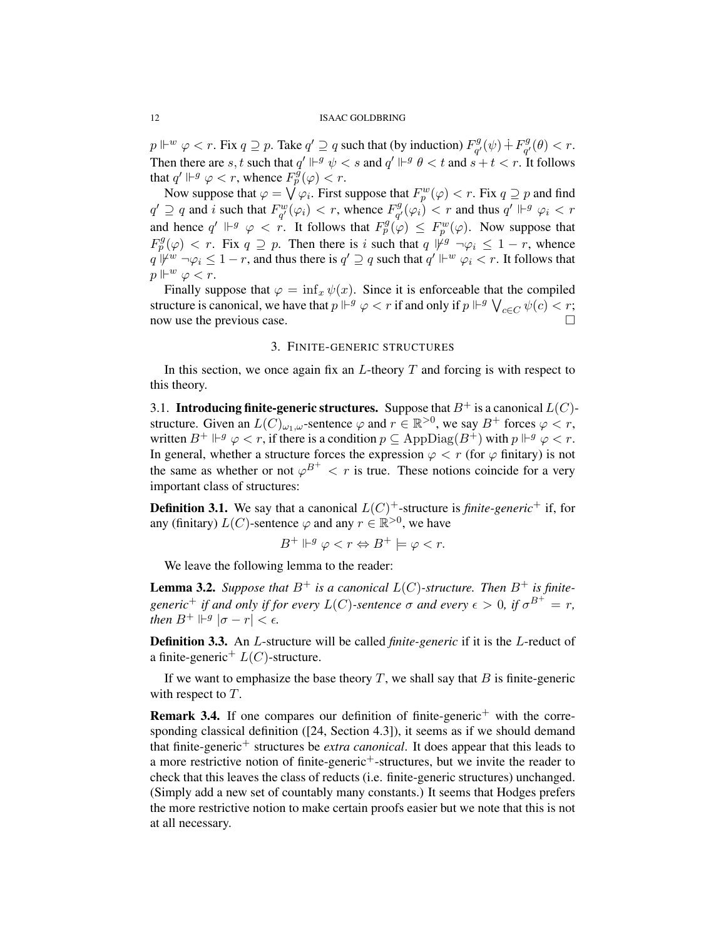$p \Vdash^w \varphi < r$ . Fix  $q \supseteq p$ . Take  $q' \supseteq q$  such that (by induction)  $F_{\alpha'}^g$  $q^{g}_{q'}(\psi) \dotplus F^{g}_{q'}$  $q^g(q) < r.$ Then there are s, t such that  $q' \Vdash^g \psi < s$  and  $q' \Vdash^g \theta < t$  and  $s + t < r$ . It follows that  $q' \Vdash^g \varphi < r$ , whence  $F_p^{\tilde{g}}(\varphi) < r$ .

Now suppose that  $\varphi = \bigvee \varphi_i$ . First suppose that  $F_p^w(\varphi) < r$ . Fix  $q \supseteq p$  and find  $q' \supseteq q$  and i such that  $F_{q'}^w(\varphi_i) < r$ , whence  $F_{q'}^g$  $\mathcal{L}_{q'}^{g}(\varphi_i) < r$  and thus  $q' \Vdash^g \varphi_i < r$ and hence  $q' \Vdash^g \varphi < r$ . It follows that  $F_p^g(\varphi) \leq F_p^w(\varphi)$ . Now suppose that  $F_p^g(\varphi) < r$ . Fix  $q \supseteq p$ . Then there is i such that  $q \psi^g \neg \varphi_i \leq 1-r$ , whence  $q \Vdash^w \neg \varphi_i \leq 1-r$ , and thus there is  $q' \supseteq q$  such that  $q' \Vdash^w \varphi_i < r$ . It follows that  $p \Vdash^w \varphi < r.$ 

Finally suppose that  $\varphi = \inf_x \psi(x)$ . Since it is enforceable that the compiled structure is canonical, we have that  $p \Vdash^g \varphi < r$  if and only if  $p \Vdash^g \bigvee_{c \in C} \psi(c) < r$ ; now use the previous case.

#### 3. FINITE-GENERIC STRUCTURES

In this section, we once again fix an  $L$ -theory  $T$  and forcing is with respect to this theory.

3.1. Introducing finite-generic structures. Suppose that  $B^+$  is a canonical  $L(C)$ structure. Given an  $L(C)_{\omega_1,\omega}$ -sentence  $\varphi$  and  $r \in \mathbb{R}^{>0}$ , we say  $B^+$  forces  $\varphi < r$ , written  $B^+ \Vdash^g \varphi < r$ , if there is a condition  $p \subseteq \mathrm{AppDiag}(B^+)$  with  $p \Vdash^g \varphi < r$ . In general, whether a structure forces the expression  $\varphi < r$  (for  $\varphi$  finitary) is not the same as whether or not  $\varphi^{B^+} < r$  is true. These notions coincide for a very important class of structures:

**Definition 3.1.** We say that a canonical  $L(C)^+$ -structure is *finite-generic*<sup>+</sup> if, for any (finitary)  $L(C)$ -sentence  $\varphi$  and any  $r \in \mathbb{R}^{>0}$ , we have

$$
B^+ \Vdash^g \varphi < r \Leftrightarrow B^+ \models \varphi < r.
$$

We leave the following lemma to the reader:

**Lemma 3.2.** Suppose that  $B^+$  is a canonical  $L(C)$ -structure. Then  $B^+$  is finite*generic*<sup>+</sup> *if and only if for every*  $L(C)$ -sentence  $\sigma$  *and every*  $\epsilon > 0$ , *if*  $\sigma^{B^+} = r$ , *then*  $B^+ \Vdash^g |\sigma - r| < \epsilon$ .

**Definition 3.3.** An *L*-structure will be called *finite-generic* if it is the *L*-reduct of a finite-generic<sup>+</sup>  $L(C)$ -structure.

If we want to emphasize the base theory  $T$ , we shall say that  $B$  is finite-generic with respect to  $T$ .

**Remark 3.4.** If one compares our definition of finite-generic<sup>+</sup> with the corresponding classical definition ([24, Section 4.3]), it seems as if we should demand that finite-generic<sup>+</sup> structures be *extra canonical*. It does appear that this leads to a more restrictive notion of finite-generic<sup>+</sup>-structures, but we invite the reader to check that this leaves the class of reducts (i.e. finite-generic structures) unchanged. (Simply add a new set of countably many constants.) It seems that Hodges prefers the more restrictive notion to make certain proofs easier but we note that this is not at all necessary.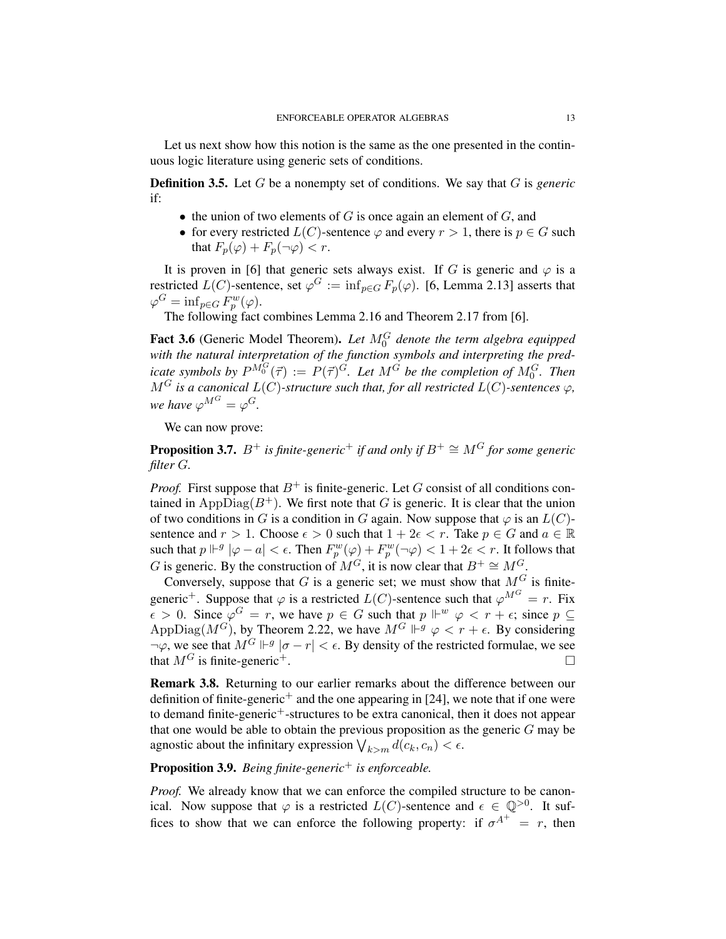Let us next show how this notion is the same as the one presented in the continuous logic literature using generic sets of conditions.

Definition 3.5. Let G be a nonempty set of conditions. We say that G is *generic* if:

- $\bullet$  the union of two elements of G is once again an element of G, and
- for every restricted  $L(C)$ -sentence  $\varphi$  and every  $r > 1$ , there is  $p \in G$  such that  $F_p(\varphi) + F_p(\neg \varphi) < r$ .

It is proven in [6] that generic sets always exist. If G is generic and  $\varphi$  is a restricted  $L(C)$ -sentence, set  $\varphi^G := \inf_{p \in G} F_p(\varphi)$ . [6, Lemma 2.13] asserts that  $\varphi^G = \inf_{p \in G} F_p^w(\varphi).$ 

The following fact combines Lemma 2.16 and Theorem 2.17 from [6].

Fact 3.6 (Generic Model Theorem). Let  $M_0^G$  denote the term algebra equipped *with the natural interpretation of the function symbols and interpreting the predicate symbols by*  $P^{M_0^G}(\vec{\tau}) := P(\vec{\tau})^G$ *. Let*  $M^G$  *be the completion of*  $M_0^G$ *. Then*  $M^G$  *is a canonical*  $L(C)$ -structure such that, for all restricted  $L(C)$ -sentences  $\varphi$ , *we have*  $\varphi^{M^G} = \varphi^G$ .

We can now prove:

**Proposition 3.7.**  $B^+$  *is finite-generic<sup>+</sup> <i>if and only if*  $B^+ \cong M^G$  *for some generic filter* G*.*

*Proof.* First suppose that  $B^+$  is finite-generic. Let G consist of all conditions contained in AppDiag( $B^+$ ). We first note that G is generic. It is clear that the union of two conditions in G is a condition in G again. Now suppose that  $\varphi$  is an  $L(C)$ sentence and  $r > 1$ . Choose  $\epsilon > 0$  such that  $1 + 2\epsilon < r$ . Take  $p \in G$  and  $a \in \mathbb{R}$ such that  $p \Vdash^g |\varphi - a| < \epsilon$ . Then  $F_p^w(\varphi) + F_p^w(\neg \varphi) < 1 + 2\epsilon < r$ . It follows that G is generic. By the construction of  $M^G$ , it is now clear that  $B^+ \cong M^G$ .

Conversely, suppose that G is a generic set; we must show that  $M<sup>G</sup>$  is finitegeneric<sup>+</sup>. Suppose that  $\varphi$  is a restricted  $L(C)$ -sentence such that  $\varphi^{M^G} = r$ . Fix  $\epsilon > 0$ . Since  $\varphi^G = r$ , we have  $p \in G$  such that  $p \Vdash^w \varphi < r + \epsilon$ ; since  $p \subseteq$ AppDiag( $M^G$ ), by Theorem 2.22, we have  $M^G \Vdash^g \varphi < r + \epsilon$ . By considering  $\neg \varphi$ , we see that  $M^G \Vdash^g |\sigma - r| < \epsilon$ . By density of the restricted formulae, we see that  $M<sup>G</sup>$  is finite-generic<sup>+</sup>.

Remark 3.8. Returning to our earlier remarks about the difference between our definition of finite-generic<sup>+</sup> and the one appearing in [24], we note that if one were to demand finite-generic<sup>+</sup>-structures to be extra canonical, then it does not appear that one would be able to obtain the previous proposition as the generic  $G$  may be agnostic about the infinitary expression  $\bigvee_{k>m} d(c_k, c_n) < \epsilon$ .

# Proposition 3.9. *Being finite-generic*<sup>+</sup> *is enforceable.*

*Proof.* We already know that we can enforce the compiled structure to be canonical. Now suppose that  $\varphi$  is a restricted  $L(C)$ -sentence and  $\epsilon \in \mathbb{Q}^{>0}$ . It suffices to show that we can enforce the following property: if  $\sigma^{A^+} = r$ , then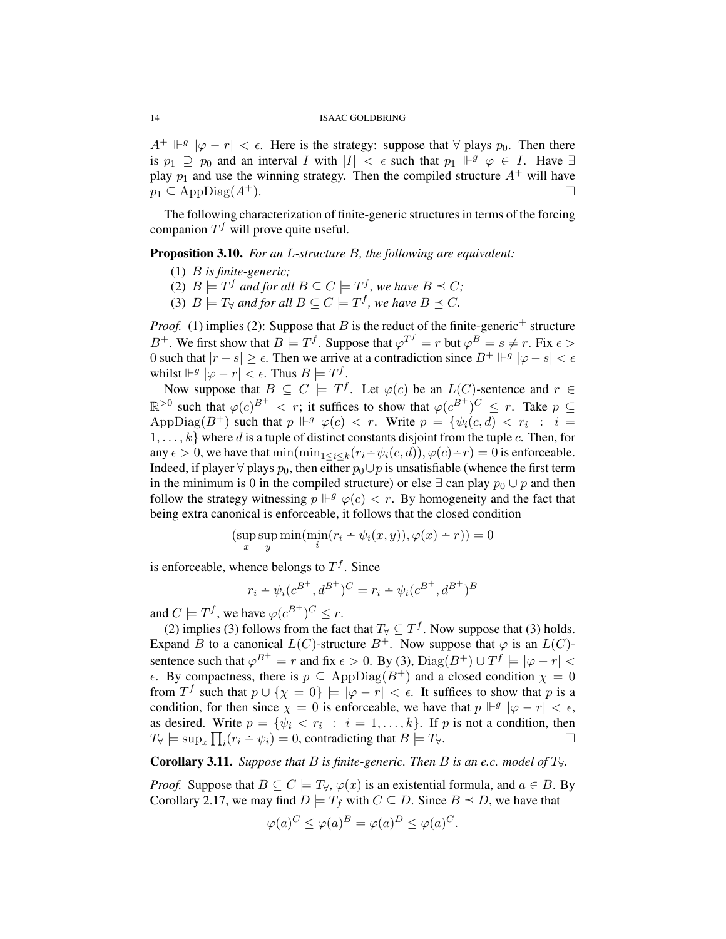$A^+ \Vdash^g |\varphi - r| < \epsilon$ . Here is the strategy: suppose that  $\forall$  plays  $p_0$ . Then there is  $p_1 \supseteq p_0$  and an interval I with  $|I| < \epsilon$  such that  $p_1 \Vdash^g \varphi \in I$ . Have  $\exists$ play  $p_1$  and use the winning strategy. Then the compiled structure  $A^+$  will have  $p_1 \subset \text{AppDiag}(A^+).$ 

The following characterization of finite-generic structures in terms of the forcing companion  $T^f$  will prove quite useful.

Proposition 3.10. *For an* L*-structure* B*, the following are equivalent:*

- (1) B *is finite-generic;*
- (2)  $B \models T^f$  and for all  $B \subseteq C \models T^f$ , we have  $B \preceq C$ ;
- (3)  $B \models T_{\forall}$  and for all  $B \subseteq C \models T^f$ , we have  $B \preceq C$ .

*Proof.* (1) implies (2): Suppose that B is the reduct of the finite-generic<sup>+</sup> structure B<sup>+</sup>. We first show that  $B \models T^f$ . Suppose that  $\varphi^{T^f} = r$  but  $\varphi^B = s \neq r$ . Fix  $\epsilon >$ 0 such that  $|r - s| \geq \epsilon$ . Then we arrive at a contradiction since  $B^+ \Vdash^g |\varphi - s| < \epsilon$ whilst  $\|\varphi - r\| < \epsilon$ . Thus  $B \models T^f$ .

Now suppose that  $B \subseteq C \models T^f$ . Let  $\varphi(c)$  be an  $L(C)$ -sentence and  $r \in$  $\mathbb{R}^{>0}$  such that  $\varphi(c)^{B^+} < r$ ; it suffices to show that  $\varphi(c^{B^+})^C \leq r$ . Take  $p \subseteq$ AppDiag( $B^+$ ) such that  $p \Vdash^g \varphi(c) < r$ . Write  $p = \{ \psi_i(c,d) < r_i : i =$  $1, \ldots, k$  where d is a tuple of distinct constants disjoint from the tuple c. Then, for any  $\epsilon > 0$ , we have that  $\min(\min_{1 \leq i \leq k}(r_i - \psi_i(c, d)), \varphi(c) - r) = 0$  is enforceable. Indeed, if player  $\forall$  plays  $p_0$ , then either  $p_0 \cup p$  is unsatisfiable (whence the first term in the minimum is 0 in the compiled structure) or else  $\exists$  can play  $p_0 \cup p$  and then follow the strategy witnessing  $p \Vdash^g \varphi(c) < r$ . By homogeneity and the fact that being extra canonical is enforceable, it follows that the closed condition

$$
(\sup_x \sup_y \min(\min_i (r_i - \psi_i(x, y)), \varphi(x) - r)) = 0
$$

is enforceable, whence belongs to  $T<sup>f</sup>$ . Since

$$
r_i - \psi_i(c^{B^+}, d^{B^+})^C = r_i - \psi_i(c^{B^+}, d^{B^+})^B
$$

and  $C \models T^f$ , we have  $\varphi(c^{B^+})^C \leq r$ .

(2) implies (3) follows from the fact that  $T_\forall \subseteq T^f$ . Now suppose that (3) holds. Expand B to a canonical  $L(C)$ -structure  $B^+$ . Now suppose that  $\varphi$  is an  $L(C)$ sentence such that  $\varphi^{B^+} = r$  and fix  $\epsilon > 0$ . By (3),  $\text{Diag}(B^+) \cup T^f \models |\varphi - r| <$  $\epsilon$ . By compactness, there is  $p \subseteq \text{AppDiag}(B^+)$  and a closed condition  $\chi = 0$ from  $T^f$  such that  $p \cup \{\chi = 0\} \models |\varphi - r| < \epsilon$ . It suffices to show that p is a condition, for then since  $\chi = 0$  is enforceable, we have that  $p \Vdash^g |\varphi - r| < \epsilon$ , as desired. Write  $p = \{\psi_i < r_i : i = 1, \ldots, k\}$ . If p is not a condition, then  $T_{\forall} \models \sup_x \prod_i (r_i - \psi_i) = 0$ , contradicting that  $B \models T_{\forall}$ .

**Corollary 3.11.** *Suppose that*  $B$  *is finite-generic. Then*  $B$  *is an e.c. model of*  $T_{\forall}$ *.* 

*Proof.* Suppose that  $B \subseteq C \models T_{\forall}, \varphi(x)$  is an existential formula, and  $a \in B$ . By Corollary 2.17, we may find  $D \models T_f$  with  $C \subseteq D$ . Since  $B \preceq D$ , we have that

$$
\varphi(a)^C \le \varphi(a)^B = \varphi(a)^D \le \varphi(a)^C.
$$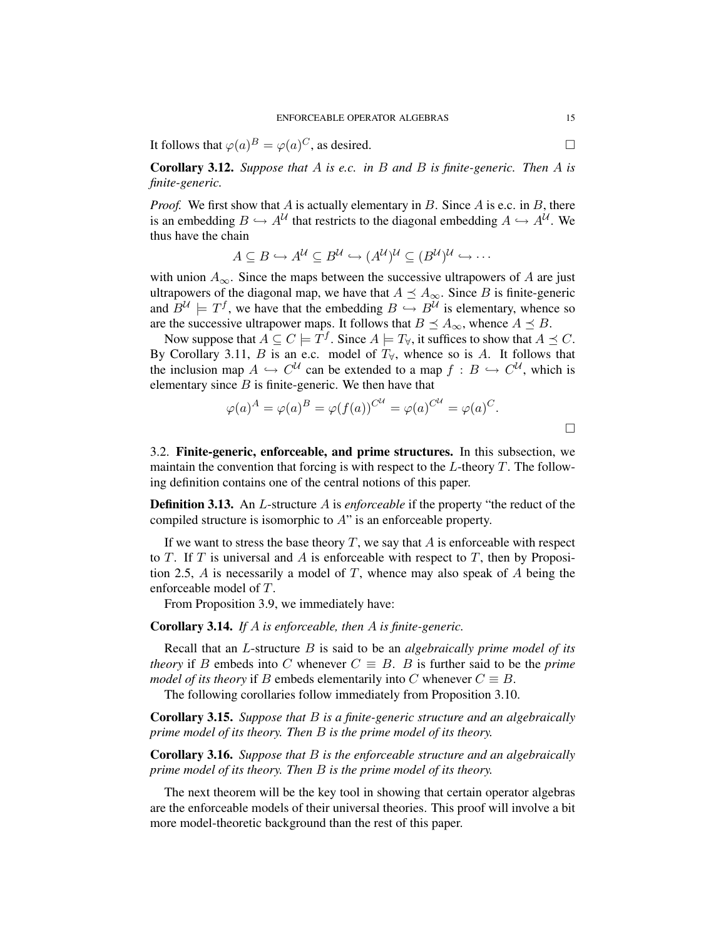It follows that  $\varphi(a)^B = \varphi(a)^C$ , as desired.

Corollary 3.12. *Suppose that* A *is e.c. in* B *and* B *is finite-generic. Then* A *is finite-generic.*

*Proof.* We first show that  $A$  is actually elementary in  $B$ . Since  $A$  is e.c. in  $B$ , there is an embedding  $B \hookrightarrow A^{\mathcal{U}}$  that restricts to the diagonal embedding  $A \hookrightarrow A^{\mathcal{U}}$ . We thus have the chain

$$
A \subseteq B \hookrightarrow A^{\mathcal{U}} \subseteq B^{\mathcal{U}} \hookrightarrow (A^{\mathcal{U}})^{\mathcal{U}} \subseteq (B^{\mathcal{U}})^{\mathcal{U}} \hookrightarrow \cdots
$$

with union  $A_{\infty}$ . Since the maps between the successive ultrapowers of A are just ultrapowers of the diagonal map, we have that  $A \preceq A_{\infty}$ . Since B is finite-generic and  $B^{\mathcal{U}} \models T^f$ , we have that the embedding  $B \hookrightarrow B^{\mathcal{U}}$  is elementary, whence so are the successive ultrapower maps. It follows that  $B \preceq A_{\infty}$ , whence  $A \preceq B$ .

Now suppose that  $A \subseteq C \models T^f$ . Since  $A \models T_{\forall}$ , it suffices to show that  $A \preceq C$ . By Corollary 3.11, B is an e.c. model of  $T_\forall$ , whence so is A. It follows that the inclusion map  $A \hookrightarrow C^{\mathcal{U}}$  can be extended to a map  $f : B \hookrightarrow C^{\mathcal{U}}$ , which is elementary since  $B$  is finite-generic. We then have that

$$
\varphi(a)^A = \varphi(a)^B = \varphi(f(a))^{C^{\mathcal{U}}} = \varphi(a)^{C^{\mathcal{U}}} = \varphi(a)^C.
$$

3.2. Finite-generic, enforceable, and prime structures. In this subsection, we maintain the convention that forcing is with respect to the  $L$ -theory  $T$ . The following definition contains one of the central notions of this paper.

Definition 3.13. An L-structure A is *enforceable* if the property "the reduct of the compiled structure is isomorphic to A" is an enforceable property.

If we want to stress the base theory  $T$ , we say that  $A$  is enforceable with respect to  $T$ . If  $T$  is universal and  $A$  is enforceable with respect to  $T$ , then by Proposition 2.5,  $\hat{A}$  is necessarily a model of  $T$ , whence may also speak of  $\hat{A}$  being the enforceable model of T.

From Proposition 3.9, we immediately have:

Corollary 3.14. *If* A *is enforceable, then* A *is finite-generic.*

Recall that an L-structure B is said to be an *algebraically prime model of its theory* if B embeds into C whenever  $C \equiv B$ . B is further said to be the *prime model of its theory* if B embeds elementarily into C whenever  $C \equiv B$ .

The following corollaries follow immediately from Proposition 3.10.

Corollary 3.15. *Suppose that* B *is a finite-generic structure and an algebraically prime model of its theory. Then* B *is the prime model of its theory.*

Corollary 3.16. *Suppose that* B *is the enforceable structure and an algebraically prime model of its theory. Then* B *is the prime model of its theory.*

The next theorem will be the key tool in showing that certain operator algebras are the enforceable models of their universal theories. This proof will involve a bit more model-theoretic background than the rest of this paper.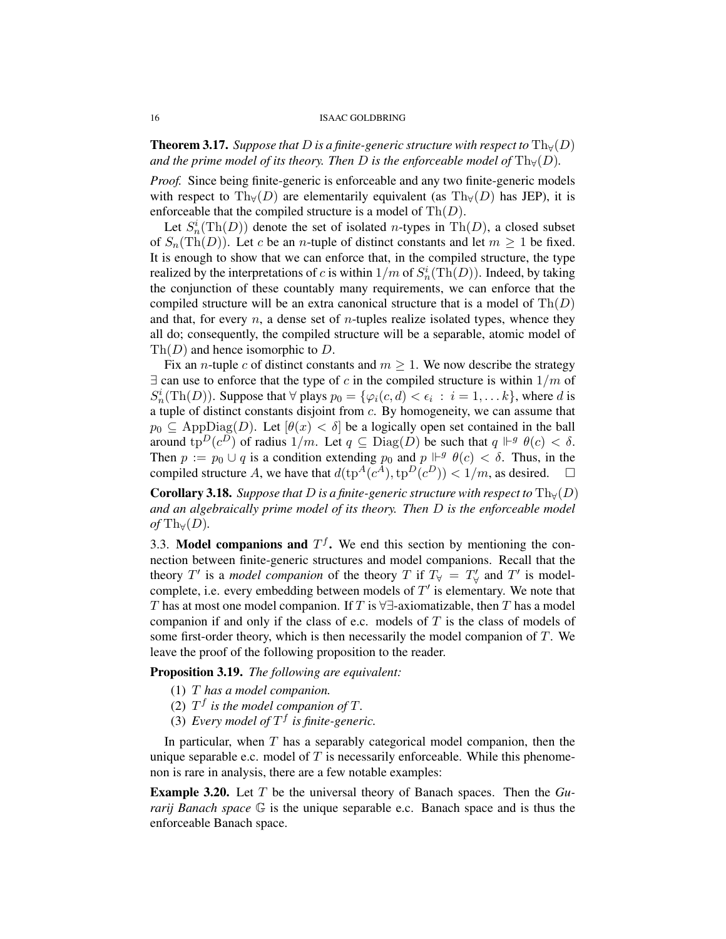**Theorem 3.17.** *Suppose that* D *is a finite-generic structure with respect to*  $Th_v(D)$ *and the prime model of its theory. Then* D *is the enforceable model of*  $\text{Th}_{\forall}(D)$ *.* 

*Proof.* Since being finite-generic is enforceable and any two finite-generic models with respect to Th $_Y(D)$  are elementarily equivalent (as Th $_Y(D)$  has JEP), it is enforceable that the compiled structure is a model of  $\text{Th}(D)$ .

Let  $S_n^i(\text{Th}(D))$  denote the set of isolated *n*-types in Th $(D)$ , a closed subset of  $S_n(Th(D))$ . Let c be an *n*-tuple of distinct constants and let  $m \ge 1$  be fixed. It is enough to show that we can enforce that, in the compiled structure, the type realized by the interpretations of c is within  $1/m$  of  $S_n^i(\text{Th}(D))$ . Indeed, by taking the conjunction of these countably many requirements, we can enforce that the compiled structure will be an extra canonical structure that is a model of  $\text{Th}(D)$ and that, for every  $n$ , a dense set of  $n$ -tuples realize isolated types, whence they all do; consequently, the compiled structure will be a separable, atomic model of  $\text{Th}(D)$  and hence isomorphic to D.

Fix an *n*-tuple c of distinct constants and  $m \geq 1$ . We now describe the strategy  $\exists$  can use to enforce that the type of c in the compiled structure is within  $1/m$  of  $S_n^i(\text{Th}(D))$ . Suppose that  $\forall$  plays  $p_0 = {\varphi_i(c, d) < \epsilon_i : i = 1, \dots k}$ , where d is a tuple of distinct constants disjoint from c. By homogeneity, we can assume that  $p_0 \subseteq \text{AppDiag}(D)$ . Let  $[\theta(x) < \delta]$  be a logically open set contained in the ball around  $\text{tp}^D(c^D)$  of radius  $1/m$ . Let  $q \subseteq \text{Diag}(D)$  be such that  $q \Vdash^g \theta(c) < \delta$ . Then  $p := p_0 \cup q$  is a condition extending  $p_0$  and  $p \Vdash^g \theta(c) < \delta$ . Thus, in the compiled structure A, we have that  $d(\text{tp}^A(c^A), \text{tp}^D(c^D)) < 1/m$ , as desired.  $\square$ 

**Corollary 3.18.** *Suppose that* D *is a finite-generic structure with respect to*  $\text{Th}_{\forall}(D)$ *and an algebraically prime model of its theory. Then* D *is the enforceable model of* Th $\forall$ (*D*).

3.3. Model companions and  $T<sup>f</sup>$ . We end this section by mentioning the connection between finite-generic structures and model companions. Recall that the theory T' is a *model companion* of the theory T if  $T_\forall = T'_\forall$  and T' is modelcomplete, i.e. every embedding between models of  $T'$  is elementary. We note that T has at most one model companion. If T is  $\forall \exists$ -axiomatizable, then T has a model companion if and only if the class of e.c. models of  $T$  is the class of models of some first-order theory, which is then necessarily the model companion of  $T$ . We leave the proof of the following proposition to the reader.

Proposition 3.19. *The following are equivalent:*

- (1) T *has a model companion.*
- (2)  $T^f$  is the model companion of T.
- (3) Every model of  $T^f$  is finite-generic.

In particular, when  $T$  has a separably categorical model companion, then the unique separable e.c. model of  $T$  is necessarily enforceable. While this phenomenon is rare in analysis, there are a few notable examples:

Example 3.20. Let T be the universal theory of Banach spaces. Then the *Gurarij Banach space*  $\mathbb{G}$  is the unique separable e.c. Banach space and is thus the enforceable Banach space.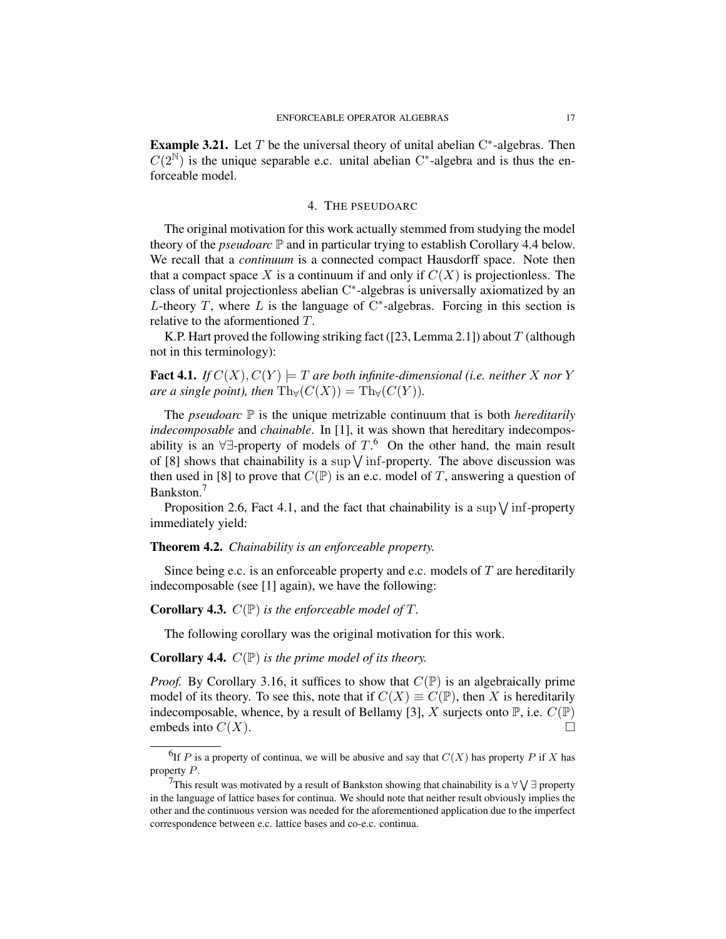**Example 3.21.** Let T be the universal theory of unital abelian  $C^*$ -algebras. Then  $C(2^N)$  is the unique separable e.c. unital abelian C<sup>\*</sup>-algebra and is thus the enforceable model.

### 4. THE PSEUDOARC

The original motivation for this work actually stemmed from studying the model theory of the *pseudoarc* P and in particular trying to establish Corollary 4.4 below. We recall that a *continuum* is a connected compact Hausdorff space. Note then that a compact space X is a continuum if and only if  $C(X)$  is projectionless. The class of unital projectionless abelian C ∗ -algebras is universally axiomatized by an L-theory T, where L is the language of  $C^*$ -algebras. Forcing in this section is relative to the aformentioned T.

K.P. Hart proved the following striking fact ([23, Lemma 2.1]) about  $T$  (although not in this terminology):

**Fact 4.1.** *If*  $C(X)$ ,  $C(Y) = T$  *are both infinite-dimensional (i.e. neither* X *nor* Y *are a single point), then*  $\text{Th}_{\forall}(C(X)) = \text{Th}_{\forall}(C(Y)).$ 

The *pseudoarc*  $\mathbb P$  is the unique metrizable continuum that is both *hereditarily indecomposable* and *chainable*. In [1], it was shown that hereditary indecomposability is an  $\forall \exists$ -property of models of  $T$ .<sup>6</sup> On the other hand, the main result of [8] shows that chainability is a sup  $\sqrt{\text{inf-property}}$ . The above discussion was then used in [8] to prove that  $C(\mathbb{P})$  is an e.c. model of T, answering a question of Bankston.<sup>7</sup>

Proposition 2.6, Fact 4.1, and the fact that chainability is a sup  $\sqrt{\text{inf-property}}$ immediately yield:

## Theorem 4.2. *Chainability is an enforceable property.*

Since being e.c. is an enforceable property and e.c. models of  $T$  are hereditarily indecomposable (see [1] again), we have the following:

## Corollary 4.3. C(P) *is the enforceable model of* T*.*

The following corollary was the original motivation for this work.

## Corollary 4.4. C(P) *is the prime model of its theory.*

*Proof.* By Corollary 3.16, it suffices to show that  $C(\mathbb{P})$  is an algebraically prime model of its theory. To see this, note that if  $C(X) \equiv C(\mathbb{P})$ , then X is hereditarily indecomposable, whence, by a result of Bellamy [3], X surjects onto  $\mathbb{P}$ , i.e.  $C(\mathbb{P})$ embeds into  $C(X)$ .

<sup>&</sup>lt;sup>6</sup>If P is a property of continua, we will be abusive and say that  $C(X)$  has property P if X has property P.

<sup>&</sup>lt;sup>7</sup>This result was motivated by a result of Bankston showing that chainability is a  $\forall \bigvee \exists$  property in the language of lattice bases for continua. We should note that neither result obviously implies the other and the continuous version was needed for the aforementioned application due to the imperfect correspondence between e.c. lattice bases and co-e.c. continua.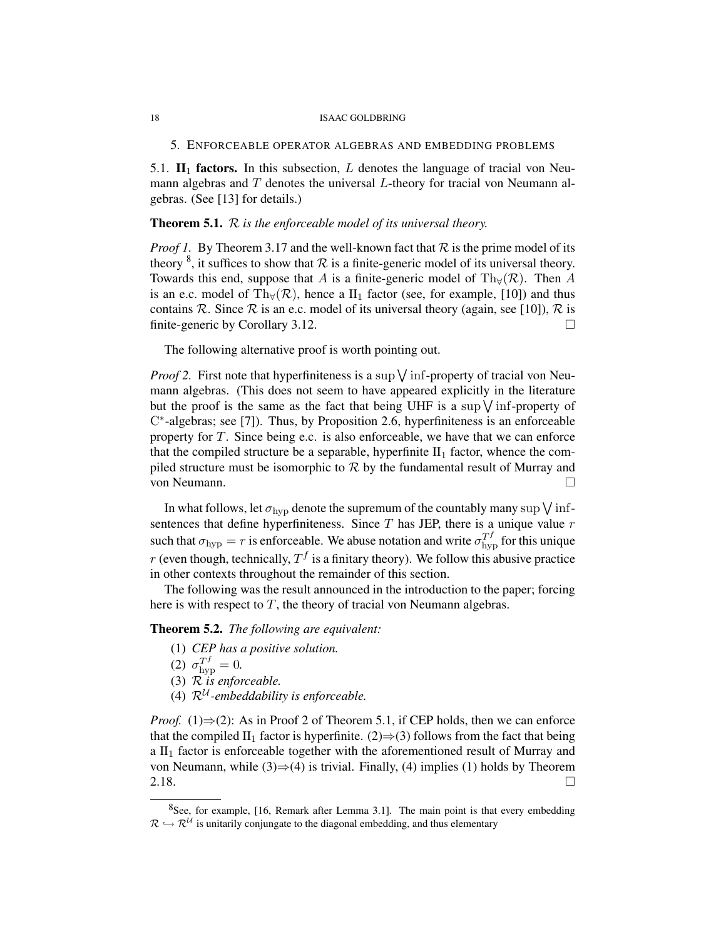5. ENFORCEABLE OPERATOR ALGEBRAS AND EMBEDDING PROBLEMS

5.1.  $\mathbf{II}_1$  factors. In this subsection, L denotes the language of tracial von Neumann algebras and  $T$  denotes the universal  $L$ -theory for tracial von Neumann algebras. (See [13] for details.)

## Theorem 5.1. R *is the enforceable model of its universal theory.*

*Proof 1.* By Theorem 3.17 and the well-known fact that  $R$  is the prime model of its theory  $\delta$ , it suffices to show that  $\mathcal R$  is a finite-generic model of its universal theory. Towards this end, suppose that A is a finite-generic model of Th $_\forall (\mathcal{R})$ . Then A is an e.c. model of Th $_{\forall}(\mathcal{R})$ , hence a II<sub>1</sub> factor (see, for example, [10]) and thus contains R. Since R is an e.c. model of its universal theory (again, see [10]), R is finite-generic by Corollary 3.12.

The following alternative proof is worth pointing out.

*Proof 2.* First note that hyperfiniteness is a sup  $\sqrt{}$  inf-property of tracial von Neumann algebras. (This does not seem to have appeared explicitly in the literature but the proof is the same as the fact that being UHF is a sup  $\sqrt{\text{inf}}$ -property of C ∗ -algebras; see [7]). Thus, by Proposition 2.6, hyperfiniteness is an enforceable property for  $T$ . Since being e.c. is also enforceable, we have that we can enforce that the compiled structure be a separable, hyperfinite  $II_1$  factor, whence the compiled structure must be isomorphic to  $R$  by the fundamental result of Murray and von Neumann.

In what follows, let  $\sigma_{\rm hyp}$  denote the supremum of the countably many sup  $\bigvee$  infsentences that define hyperfiniteness. Since  $T$  has JEP, there is a unique value  $r$ such that  $\sigma_{\rm hyp} = r$  is enforceable. We abuse notation and write  $\sigma_{\rm hyp}^{T^f}$  for this unique r (even though, technically,  $T<sup>f</sup>$  is a finitary theory). We follow this abusive practice in other contexts throughout the remainder of this section.

The following was the result announced in the introduction to the paper; forcing here is with respect to  $T$ , the theory of tracial von Neumann algebras.

Theorem 5.2. *The following are equivalent:*

- (1) *CEP has a positive solution.*
- (2)  $\sigma_{\rm hyp}^{T^f} = 0.$
- (3) R *is enforceable.*
- (4)  $\mathcal{R}^{\mathcal{U}}$ -embeddability is enforceable.

*Proof.* (1) $\Rightarrow$ (2): As in Proof 2 of Theorem 5.1, if CEP holds, then we can enforce that the compiled II<sub>1</sub> factor is hyperfinite. (2) $\Rightarrow$ (3) follows from the fact that being a  $II<sub>1</sub>$  factor is enforceable together with the aforementioned result of Murray and von Neumann, while (3)⇒(4) is trivial. Finally, (4) implies (1) holds by Theorem  $2.18.$ 

 $8$ See, for example, [16, Remark after Lemma 3.1]. The main point is that every embedding  $\mathcal{R} \hookrightarrow \mathcal{R}^{\mathcal{U}}$  is unitarily conjungate to the diagonal embedding, and thus elementary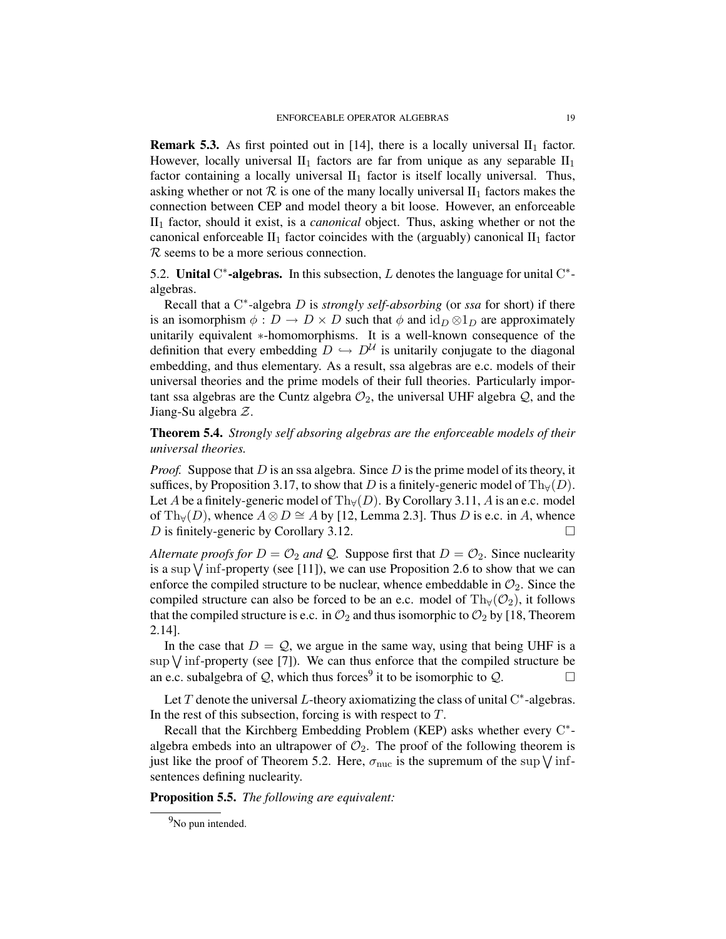**Remark 5.3.** As first pointed out in [14], there is a locally universal  $II_1$  factor. However, locally universal  $II_1$  factors are far from unique as any separable  $II_1$ factor containing a locally universal  $II_1$  factor is itself locally universal. Thus, asking whether or not  $R$  is one of the many locally universal  $II_1$  factors makes the connection between CEP and model theory a bit loose. However, an enforceable II<sup>1</sup> factor, should it exist, is a *canonical* object. Thus, asking whether or not the canonical enforceable  $II_1$  factor coincides with the (arguably) canonical  $II_1$  factor R seems to be a more serious connection.

5.2. Unital C<sup>\*</sup>-algebras. In this subsection, L denotes the language for unital C<sup>\*</sup>algebras.

Recall that a C<sup>\*</sup>-algebra *D* is *strongly self-absorbing* (or *ssa* for short) if there is an isomorphism  $\phi : D \to D \times D$  such that  $\phi$  and  $\mathrm{id}_D \otimes 1_D$  are approximately unitarily equivalent ∗-homomorphisms. It is a well-known consequence of the definition that every embedding  $D \hookrightarrow D^{\mathcal{U}}$  is unitarily conjugate to the diagonal embedding, and thus elementary. As a result, ssa algebras are e.c. models of their universal theories and the prime models of their full theories. Particularly important ssa algebras are the Cuntz algebra  $\mathcal{O}_2$ , the universal UHF algebra  $\mathcal{Q}$ , and the Jiang-Su algebra Z.

Theorem 5.4. *Strongly self absoring algebras are the enforceable models of their universal theories.*

*Proof.* Suppose that D is an ssa algebra. Since D is the prime model of its theory, it suffices, by Proposition 3.17, to show that D is a finitely-generic model of  $\text{Th}_{\forall}(D)$ . Let A be a finitely-generic model of Th $_{\forall}(D)$ . By Corollary 3.11, A is an e.c. model of Th<sub>∀</sub>(D), whence  $A \otimes D \cong A$  by [12, Lemma 2.3]. Thus D is e.c. in A, whence D is finitely-generic by Corollary 3.12.  $\Box$ 

*Alternate proofs for*  $D = \mathcal{O}_2$  *and*  $\mathcal{Q}$ . Suppose first that  $D = \mathcal{O}_2$ . Since nuclearity is a sup  $\sqrt{\text{inf-property}}$  (see [11]), we can use Proposition 2.6 to show that we can enforce the compiled structure to be nuclear, whence embeddable in  $\mathcal{O}_2$ . Since the compiled structure can also be forced to be an e.c. model of Th $_{\forall}(\mathcal{O}_2)$ , it follows that the compiled structure is e.c. in  $\mathcal{O}_2$  and thus isomorphic to  $\mathcal{O}_2$  by [18, Theorem 2.14].

In the case that  $D = Q$ , we argue in the same way, using that being UHF is a  $\sup$  V inf-property (see [7]). We can thus enforce that the compiled structure be an e.c. subalgebra of Q, which thus forces<sup>9</sup> it to be isomorphic to Q.

Let  $T$  denote the universal  $L$ -theory axiomatizing the class of unital  $C^*$ -algebras. In the rest of this subsection, forcing is with respect to  $T$ .

Recall that the Kirchberg Embedding Problem (KEP) asks whether every C\*algebra embeds into an ultrapower of  $\mathcal{O}_2$ . The proof of the following theorem is just like the proof of Theorem 5.2. Here,  $\sigma_{\text{nuc}}$  is the supremum of the sup  $\sqrt{\text{inf}}$ sentences defining nuclearity.

Proposition 5.5. *The following are equivalent:*

<sup>&</sup>lt;sup>9</sup>No pun intended.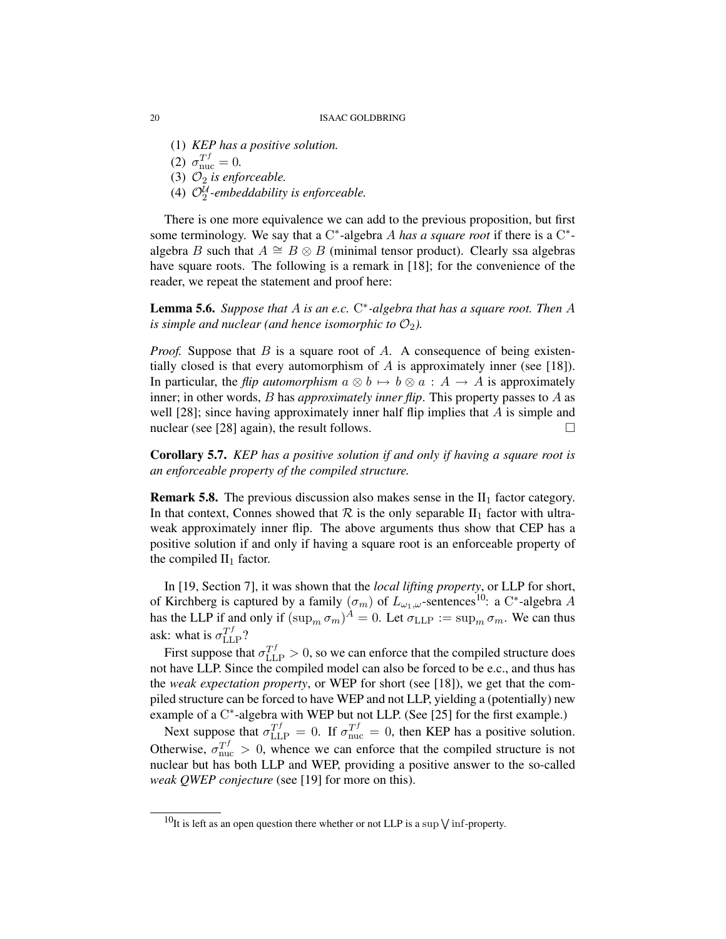(1) *KEP has a positive solution.*

(2)  $\sigma_{\text{nuc}}^{Tf} = 0.$ 

(3)  $\mathcal{O}_2$  *is enforceable.* 

(4)  $\mathcal{O}_2^{\mathcal{U}}$ -embeddability is enforceable.

There is one more equivalence we can add to the previous proposition, but first some terminology. We say that a  $C^*$ -algebra A has a square root if there is a  $C^*$ algebra B such that  $A \cong B \otimes B$  (minimal tensor product). Clearly ssa algebras have square roots. The following is a remark in [18]; for the convenience of the reader, we repeat the statement and proof here:

Lemma 5.6. *Suppose that* A *is an e.c.* C ∗ *-algebra that has a square root. Then* A *is simple and nuclear (and hence isomorphic to*  $\mathcal{O}_2$ ).

*Proof.* Suppose that  $B$  is a square root of  $A$ . A consequence of being existentially closed is that every automorphism of A is approximately inner (see [18]). In particular, the *flip automorphism*  $a \otimes b \mapsto b \otimes a : A \to A$  is approximately inner; in other words, B has *approximately inner flip*. This property passes to A as well  $[28]$ ; since having approximately inner half flip implies that A is simple and nuclear (see [28] again), the result follows.  $\Box$ 

Corollary 5.7. *KEP has a positive solution if and only if having a square root is an enforceable property of the compiled structure.*

**Remark 5.8.** The previous discussion also makes sense in the  $II_1$  factor category. In that context, Connes showed that  $\mathcal R$  is the only separable  $II_1$  factor with ultraweak approximately inner flip. The above arguments thus show that CEP has a positive solution if and only if having a square root is an enforceable property of the compiled  $II_1$  factor.

In [19, Section 7], it was shown that the *local lifting property*, or LLP for short, of Kirchberg is captured by a family  $(\sigma_m)$  of  $L_{\omega_1,\omega}$ -sentences<sup>10</sup>: a C<sup>\*</sup>-algebra A has the LLP if and only if  $(\sup_m \sigma_m)^A = 0$ . Let  $\sigma_{\text{LLP}} := \sup_m \sigma_m$ . We can thus ask: what is  $\sigma_{\text{LLP}}^{Tf}$ ?

First suppose that  $\sigma_{\text{LLP}}^{Tf} > 0$ , so we can enforce that the compiled structure does not have LLP. Since the compiled model can also be forced to be e.c., and thus has the *weak expectation property*, or WEP for short (see [18]), we get that the compiled structure can be forced to have WEP and not LLP, yielding a (potentially) new example of a C<sup>\*</sup>-algebra with WEP but not LLP. (See [25] for the first example.)

Next suppose that  $\sigma_{\text{LLP}}^{Tf} = 0$ . If  $\sigma_{\text{nuc}}^{Tf} = 0$ , then KEP has a positive solution. Otherwise,  $\sigma_{\text{nuc}}^{Tf} > 0$ , whence we can enforce that the compiled structure is not nuclear but has both LLP and WEP, providing a positive answer to the so-called *weak QWEP conjecture* (see [19] for more on this).

<sup>&</sup>lt;sup>10</sup>It is left as an open question there whether or not LLP is a sup  $\sqrt{\text{inf-property}}$ .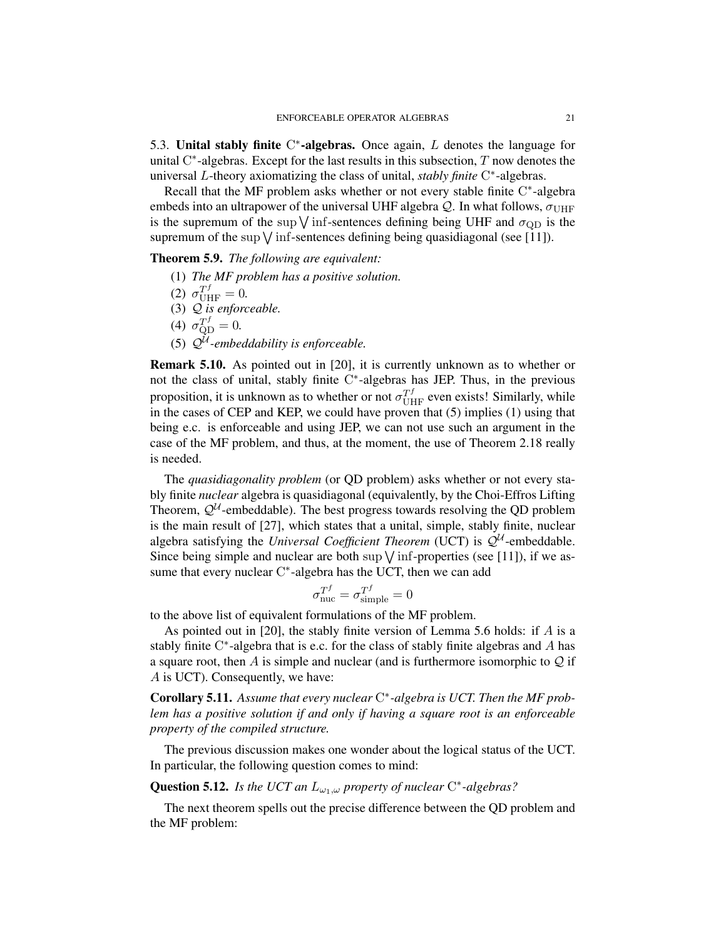5.3. Unital stably finite  $C^*$ -algebras. Once again,  $L$  denotes the language for unital  $C^*$ -algebras. Except for the last results in this subsection,  $T$  now denotes the universal L-theory axiomatizing the class of unital, *stably finite* C ∗ -algebras.

Recall that the MF problem asks whether or not every stable finite C\*-algebra embeds into an ultrapower of the universal UHF algebra  $Q$ . In what follows,  $\sigma_{UHF}$ is the supremum of the sup  $\sqrt{\text{inf}}$ -sentences defining being UHF and  $\sigma_{\text{QD}}$  is the supremum of the sup  $\sqrt{\text{inf}}$ -sentences defining being quasidiagonal (see [11]).

Theorem 5.9. *The following are equivalent:*

(1) *The MF problem has a positive solution.*

$$
(2) \ \sigma_{\text{UHF}}^{T^f} = 0.
$$

- (3) Q *is enforceable.*
- (4)  $\sigma_{\rm QD}^{Tf} = 0.$
- (5)  $\mathcal{Q}^{\mathcal{U}}$ -embeddability is enforceable.

Remark 5.10. As pointed out in [20], it is currently unknown as to whether or not the class of unital, stably finite C ∗ -algebras has JEP. Thus, in the previous proposition, it is unknown as to whether or not  $\sigma_{\text{UHF}}^{T^f}$  even exists! Similarly, while in the cases of CEP and KEP, we could have proven that (5) implies (1) using that being e.c. is enforceable and using JEP, we can not use such an argument in the case of the MF problem, and thus, at the moment, the use of Theorem 2.18 really is needed.

The *quasidiagonality problem* (or QD problem) asks whether or not every stably finite *nuclear* algebra is quasidiagonal (equivalently, by the Choi-Effros Lifting Theorem,  $\mathcal{Q}^{\mathcal{U}}$ -embeddable). The best progress towards resolving the QD problem is the main result of [27], which states that a unital, simple, stably finite, nuclear algebra satisfying the *Universal Coefficient Theorem* (UCT) is  $Q^{\mathcal{U}}$ -embeddable. Since being simple and nuclear are both sup  $\sqrt{\text{inf}}$ -properties (see [11]), if we assume that every nuclear C<sup>\*</sup>-algebra has the UCT, then we can add

$$
\sigma_{\text{nuc}}^{T^f} = \sigma_{\text{simple}}^{T^f} = 0
$$

to the above list of equivalent formulations of the MF problem.

As pointed out in [20], the stably finite version of Lemma 5.6 holds: if A is a stably finite  $C^*$ -algebra that is e.c. for the class of stably finite algebras and  $A$  has a square root, then A is simple and nuclear (and is furthermore isomorphic to  $Q$  if A is UCT). Consequently, we have:

Corollary 5.11. *Assume that every nuclear* C ∗ *-algebra is UCT. Then the MF problem has a positive solution if and only if having a square root is an enforceable property of the compiled structure.*

The previous discussion makes one wonder about the logical status of the UCT. In particular, the following question comes to mind:

**Question 5.12.** *Is the UCT an*  $L_{\omega_1,\omega}$  *property of nuclear*  $C^*$ -algebras?

The next theorem spells out the precise difference between the QD problem and the MF problem: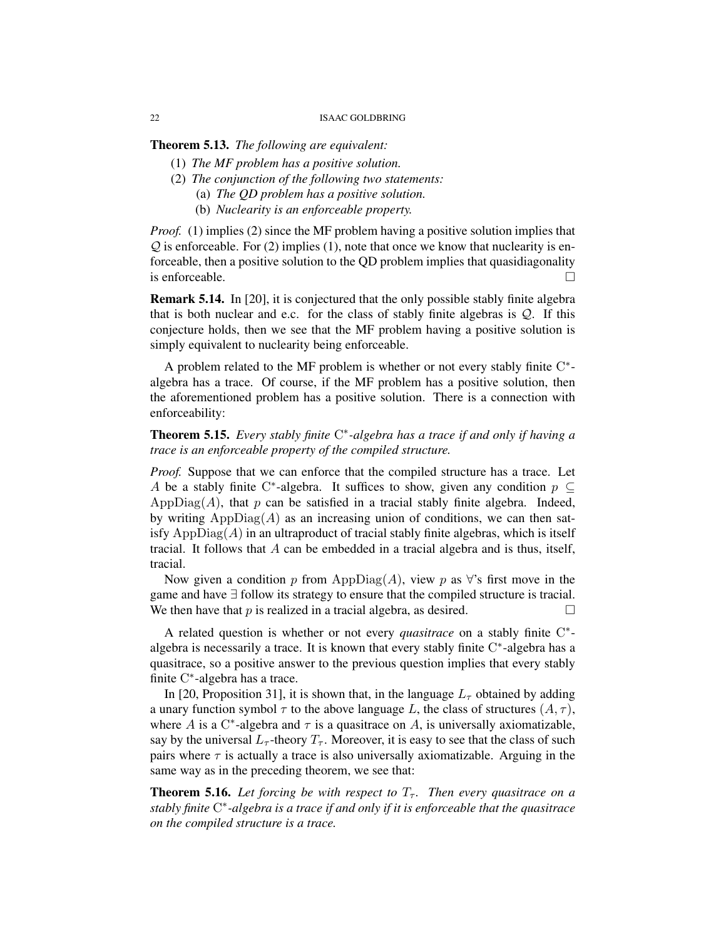Theorem 5.13. *The following are equivalent:*

- (1) *The MF problem has a positive solution.*
- (2) *The conjunction of the following two statements:*
	- (a) *The QD problem has a positive solution.*
	- (b) *Nuclearity is an enforceable property.*

*Proof.* (1) implies (2) since the MF problem having a positive solution implies that  $Q$  is enforceable. For (2) implies (1), note that once we know that nuclearity is enforceable, then a positive solution to the QD problem implies that quasidiagonality is enforceable.  $\Box$ 

Remark 5.14. In [20], it is conjectured that the only possible stably finite algebra that is both nuclear and e.c. for the class of stably finite algebras is  $Q$ . If this conjecture holds, then we see that the MF problem having a positive solution is simply equivalent to nuclearity being enforceable.

A problem related to the MF problem is whether or not every stably finite C\*algebra has a trace. Of course, if the MF problem has a positive solution, then the aforementioned problem has a positive solution. There is a connection with enforceability:

Theorem 5.15. *Every stably finite* C ∗ *-algebra has a trace if and only if having a trace is an enforceable property of the compiled structure.*

*Proof.* Suppose that we can enforce that the compiled structure has a trace. Let A be a stably finite C\*-algebra. It suffices to show, given any condition  $p \subseteq$ AppDiag( $A$ ), that p can be satisfied in a tracial stably finite algebra. Indeed, by writing  $AppDiag(A)$  as an increasing union of conditions, we can then satisfy  $\text{AppDiag}(A)$  in an ultraproduct of tracial stably finite algebras, which is itself tracial. It follows that A can be embedded in a tracial algebra and is thus, itself, tracial.

Now given a condition p from AppDiag(A), view p as  $\forall$ 's first move in the game and have ∃ follow its strategy to ensure that the compiled structure is tracial. We then have that p is realized in a tracial algebra, as desired.  $\square$ 

A related question is whether or not every *quasitrace* on a stably finite C<sup>\*</sup>algebra is necessarily a trace. It is known that every stably finite  $C^*$ -algebra has a quasitrace, so a positive answer to the previous question implies that every stably finite C\*-algebra has a trace.

In [20, Proposition 31], it is shown that, in the language  $L_{\tau}$  obtained by adding a unary function symbol  $\tau$  to the above language L, the class of structures  $(A, \tau)$ , where A is a C<sup>\*</sup>-algebra and  $\tau$  is a quasitrace on A, is universally axiomatizable, say by the universal  $L_{\tau}$ -theory  $T_{\tau}$ . Moreover, it is easy to see that the class of such pairs where  $\tau$  is actually a trace is also universally axiomatizable. Arguing in the same way as in the preceding theorem, we see that:

**Theorem 5.16.** Let forcing be with respect to  $T<sub>\tau</sub>$ . Then every quasitrace on a *stably finite* C ∗ *-algebra is a trace if and only if it is enforceable that the quasitrace on the compiled structure is a trace.*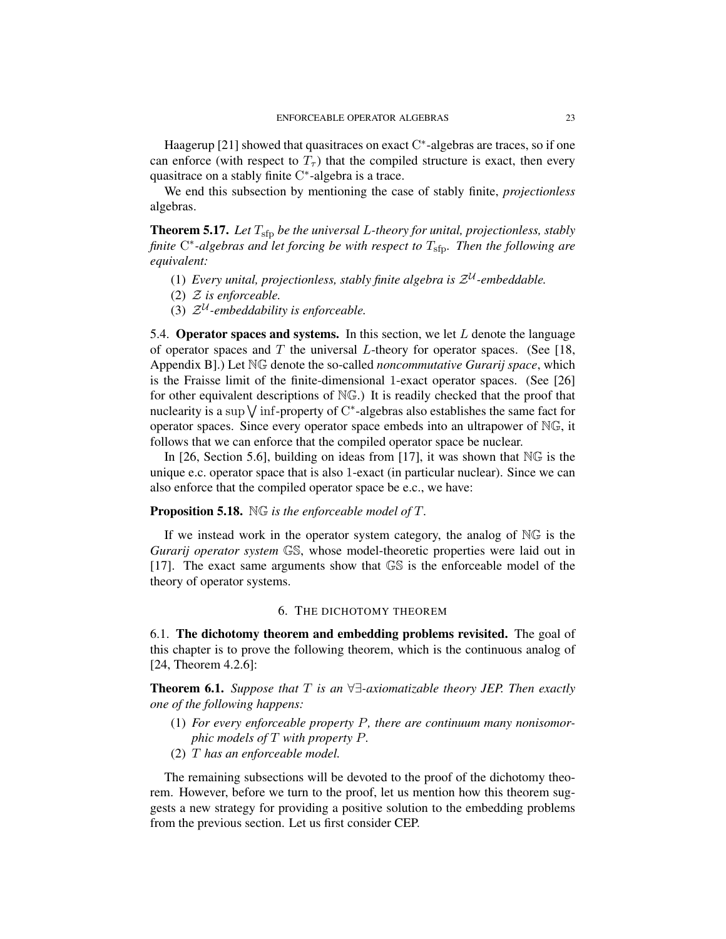Haagerup [21] showed that quasitraces on exact  $C^*$ -algebras are traces, so if one can enforce (with respect to  $T<sub>\tau</sub>$ ) that the compiled structure is exact, then every quasitrace on a stably finite C<sup>\*</sup>-algebra is a trace.

We end this subsection by mentioning the case of stably finite, *projectionless* algebras.

Theorem 5.17. Let  $T_{\rm sfp}$  be the universal L-theory for unital, projectionless, stably finite C<sup>\*</sup>-algebras and let forcing be with respect to T<sub>sfp</sub>. Then the following are *equivalent:*

- (1) Every unital, projectionless, stably finite algebra is  $\mathcal{Z}^{\mathcal{U}}$ -embeddable.
- (2) Z *is enforceable.*
- (3)  $\mathcal{Z}^{\mathcal{U}}$ -embeddability is enforceable.

5.4. Operator spaces and systems. In this section, we let  $L$  denote the language of operator spaces and T the universal L-theory for operator spaces. (See [18, Appendix B].) Let NG denote the so-called *noncommutative Gurarij space*, which is the Fraisse limit of the finite-dimensional 1-exact operator spaces. (See [26] for other equivalent descriptions of NG.) It is readily checked that the proof that nuclearity is a sup  $\vee$  inf-property of C\*-algebras also establishes the same fact for operator spaces. Since every operator space embeds into an ultrapower of NG, it follows that we can enforce that the compiled operator space be nuclear.

In [26, Section 5.6], building on ideas from [17], it was shown that NG is the unique e.c. operator space that is also 1-exact (in particular nuclear). Since we can also enforce that the compiled operator space be e.c., we have:

### Proposition 5.18. NG *is the enforceable model of* T*.*

If we instead work in the operator system category, the analog of NG is the *Gurarij operator system* GS, whose model-theoretic properties were laid out in [17]. The exact same arguments show that GS is the enforceable model of the theory of operator systems.

#### 6. THE DICHOTOMY THEOREM

6.1. The dichotomy theorem and embedding problems revisited. The goal of this chapter is to prove the following theorem, which is the continuous analog of [24, Theorem 4.2.6]:

Theorem 6.1. *Suppose that* T *is an* ∀∃*-axiomatizable theory JEP. Then exactly one of the following happens:*

- (1) *For every enforceable property* P*, there are continuum many nonisomorphic models of* T *with property* P*.*
- (2) T *has an enforceable model.*

The remaining subsections will be devoted to the proof of the dichotomy theorem. However, before we turn to the proof, let us mention how this theorem suggests a new strategy for providing a positive solution to the embedding problems from the previous section. Let us first consider CEP.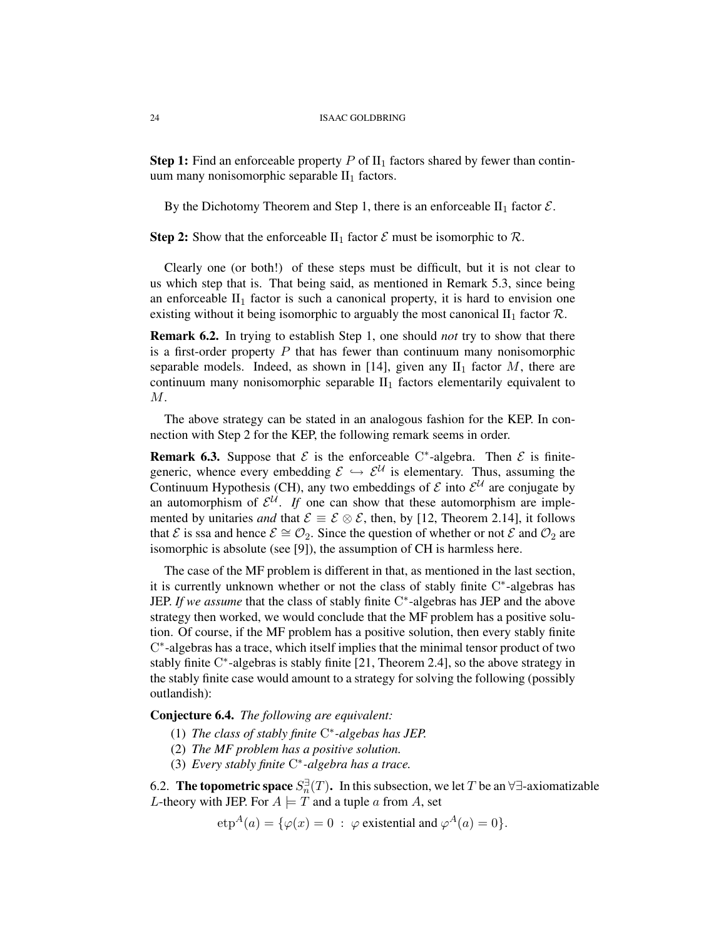**Step 1:** Find an enforceable property P of  $II_1$  factors shared by fewer than continuum many nonisomorphic separable  $II<sub>1</sub>$  factors.

By the Dichotomy Theorem and Step 1, there is an enforceable  $II_1$  factor  $\mathcal{E}$ .

**Step 2:** Show that the enforceable II<sub>1</sub> factor  $\mathcal E$  must be isomorphic to  $\mathcal R$ .

Clearly one (or both!) of these steps must be difficult, but it is not clear to us which step that is. That being said, as mentioned in Remark 5.3, since being an enforceable  $II_1$  factor is such a canonical property, it is hard to envision one existing without it being isomorphic to arguably the most canonical  $II_1$  factor  $\mathcal{R}$ .

Remark 6.2. In trying to establish Step 1, one should *not* try to show that there is a first-order property  $P$  that has fewer than continuum many nonisomorphic separable models. Indeed, as shown in [14], given any  $II_1$  factor M, there are continuum many nonisomorphic separable  $II_1$  factors elementarily equivalent to M.

The above strategy can be stated in an analogous fashion for the KEP. In connection with Step 2 for the KEP, the following remark seems in order.

**Remark 6.3.** Suppose that  $\mathcal{E}$  is the enforceable C<sup>\*</sup>-algebra. Then  $\mathcal{E}$  is finitegeneric, whence every embedding  $\mathcal{E} \hookrightarrow \mathcal{E}^{\mathcal{U}}$  is elementary. Thus, assuming the Continuum Hypothesis (CH), any two embeddings of  $\mathcal E$  into  $\mathcal E^{\mathcal U}$  are conjugate by an automorphism of  $\mathcal{E}^{\mathcal{U}}$ . If one can show that these automorphism are implemented by unitaries *and* that  $\mathcal{E} \equiv \mathcal{E} \otimes \mathcal{E}$ , then, by [12, Theorem 2.14], it follows that E is ssa and hence  $\mathcal{E} \cong \mathcal{O}_2$ . Since the question of whether or not E and  $\mathcal{O}_2$  are isomorphic is absolute (see [9]), the assumption of CH is harmless here.

The case of the MF problem is different in that, as mentioned in the last section, it is currently unknown whether or not the class of stably finite C\*-algebras has JEP. *If we assume* that the class of stably finite C<sup>∗</sup>-algebras has JEP and the above strategy then worked, we would conclude that the MF problem has a positive solution. Of course, if the MF problem has a positive solution, then every stably finite C ∗ -algebras has a trace, which itself implies that the minimal tensor product of two stably finite C\*-algebras is stably finite [21, Theorem 2.4], so the above strategy in the stably finite case would amount to a strategy for solving the following (possibly outlandish):

Conjecture 6.4. *The following are equivalent:*

- (1) *The class of stably finite* C ∗ *-algebas has JEP.*
- (2) *The MF problem has a positive solution.*
- (3) *Every stably finite* C ∗ *-algebra has a trace.*

6.2. **The topometric space**  $S_n^{\exists}(T)$ . In this subsection, we let T be an  $\forall \exists$ -axiomatizable L-theory with JEP. For  $A \models T$  and a tuple a from A, set

$$
etp^{A}(a) = \{ \varphi(x) = 0 : \varphi \text{ existential and } \varphi^{A}(a) = 0 \}.
$$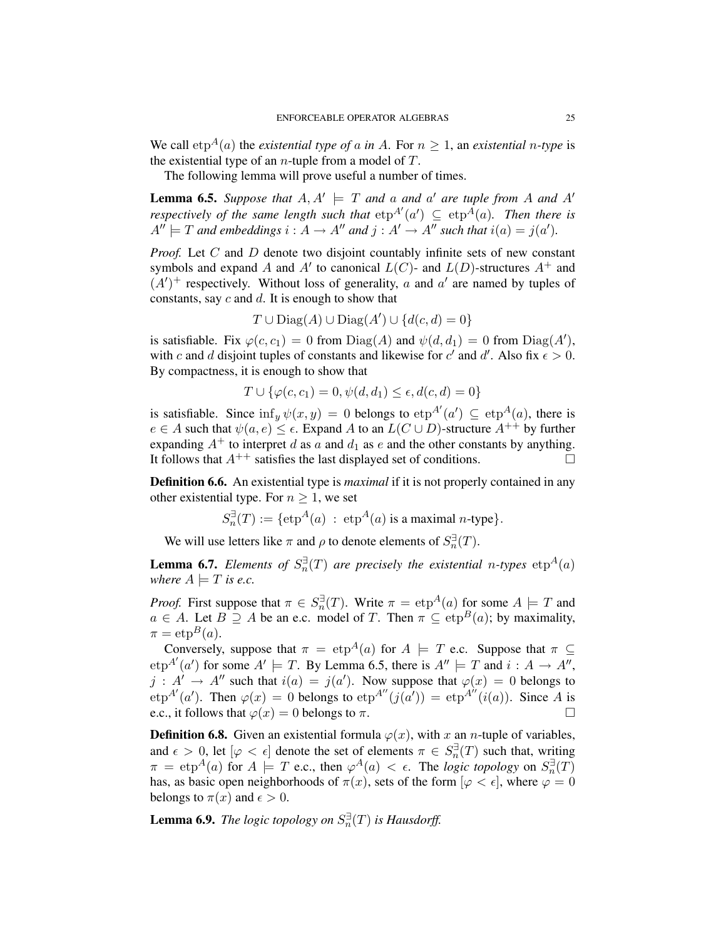We call  $e^{A}(a)$  the *existential type of* a *in* A. For  $n \geq 1$ , an *existential n-type* is the existential type of an *n*-tuple from a model of  $T$ .

The following lemma will prove useful a number of times.

**Lemma 6.5.** Suppose that  $A, A' \models T$  and a and a' are tuple from A and A' *respectively of the same length such that*  $e^{A'}(a') \subseteq e^{A}(a)$ . Then there is  $A'' \models T$  and embeddings  $i : A \rightarrow A''$  and  $j : A' \rightarrow A''$  such that  $i(a) = j(a')$ .

*Proof.* Let C and D denote two disjoint countably infinite sets of new constant symbols and expand A and A' to canonical  $L(C)$ - and  $L(D)$ -structures  $A^+$  and  $(A')^+$  respectively. Without loss of generality, a and a' are named by tuples of constants, say  $c$  and  $d$ . It is enough to show that

$$
T \cup \text{Diag}(A) \cup \text{Diag}(A') \cup \{d(c, d) = 0\}
$$

is satisfiable. Fix  $\varphi(c, c_1) = 0$  from  $Diag(A)$  and  $\psi(d, d_1) = 0$  from  $Diag(A')$ , with c and d disjoint tuples of constants and likewise for c' and d'. Also fix  $\epsilon > 0$ . By compactness, it is enough to show that

$$
T \cup \{ \varphi(c, c_1) = 0, \psi(d, d_1) \le \epsilon, d(c, d) = 0 \}
$$

is satisfiable. Since  $\inf_y \psi(x, y) = 0$  belongs to  $e^{At}(a') \subseteq e^{A}(a)$ , there is  $e \in A$  such that  $\psi(a, e) \leq \epsilon$ . Expand A to an  $L(C \cup D)$ -structure  $A^{++}$  by further expanding  $A^+$  to interpret d as a and  $d_1$  as e and the other constants by anything. It follows that  $A^{++}$  satisfies the last displayed set of conditions.

Definition 6.6. An existential type is *maximal* if it is not properly contained in any other existential type. For  $n \geq 1$ , we set

$$
S_n^{\exists}(T) := {\text{etp}}^A(a) : \text{ etp}^A(a) \text{ is a maximal } n\text{-type} \}.
$$

We will use letters like  $\pi$  and  $\rho$  to denote elements of  $S_n^{\exists}(T)$ .

**Lemma 6.7.** *Elements of*  $S_n^{\exists}(T)$  *are precisely the existential n-types*  $e^{i\phi}$ *where*  $A \models T$  *is e.c.* 

*Proof.* First suppose that  $\pi \in S_n^{\exists}(T)$ . Write  $\pi = \text{etp}^A(a)$  for some  $A \models T$  and  $a \in A$ . Let  $B \supseteq A$  be an e.c. model of T. Then  $\pi \subseteq \text{etp}^B(a)$ ; by maximality,  $\pi = \exp^{B}(a)$ .

Conversely, suppose that  $\pi = \exp^A(a)$  for  $A \models T$  e.c. Suppose that  $\pi \subseteq$  $\exp^{A'}(a')$  for some  $A' \models T$ . By Lemma 6.5, there is  $A'' \models T$  and  $i : A \rightarrow A''$ ,  $j : A' \to A''$  such that  $i(a) = j(a')$ . Now suppose that  $\varphi(x) = 0$  belongs to  $\exp^{A'}(a')$ . Then  $\varphi(x) = 0$  belongs to  $\exp^{A''}(j(a')) = \exp^{A''}(i(a))$ . Since A is e.c., it follows that  $\varphi(x) = 0$  belongs to  $\pi$ .

**Definition 6.8.** Given an existential formula  $\varphi(x)$ , with x an n-tuple of variables, and  $\epsilon > 0$ , let  $[\varphi < \epsilon]$  denote the set of elements  $\pi \in S_n^{\exists}(\mathcal{T})$  such that, writing  $\pi = \exp^A(a)$  for  $A \models T$  e.c., then  $\varphi^A(a) < \epsilon$ . The *logic topology* on  $S_n^{\exists}(T)$ has, as basic open neighborhoods of  $\pi(x)$ , sets of the form  $[\varphi < \epsilon]$ , where  $\varphi = 0$ belongs to  $\pi(x)$  and  $\epsilon > 0$ .

**Lemma 6.9.** *The logic topology on*  $S_n^{\exists}(T)$  *is Hausdorff.*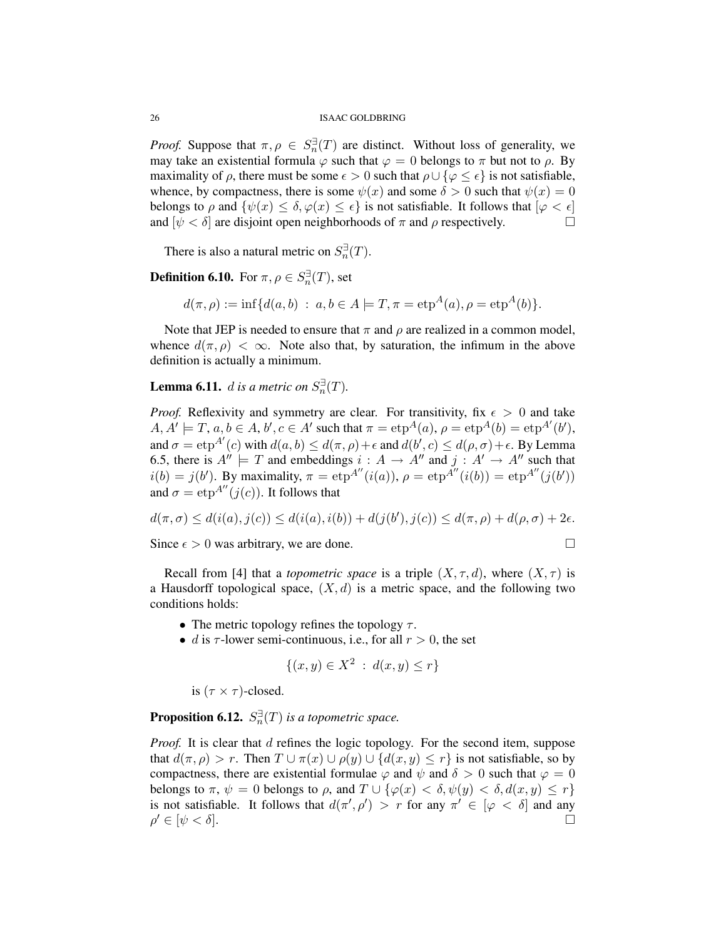*Proof.* Suppose that  $\pi, \rho \in S_n^{\exists}(\mathcal{T})$  are distinct. Without loss of generality, we may take an existential formula  $\varphi$  such that  $\varphi = 0$  belongs to  $\pi$  but not to  $\rho$ . By maximality of  $\rho$ , there must be some  $\epsilon > 0$  such that  $\rho \cup {\varphi \leq \epsilon}$  is not satisfiable, whence, by compactness, there is some  $\psi(x)$  and some  $\delta > 0$  such that  $\psi(x) = 0$ belongs to  $\rho$  and  $\{\psi(x) \leq \delta, \varphi(x) \leq \epsilon\}$  is not satisfiable. It follows that  $|\varphi| < \epsilon$ and  $[\psi \lt \delta]$  are disjoint open neighborhoods of  $\pi$  and  $\rho$  respectively.

There is also a natural metric on  $S_n^{\exists}(T)$ .

**Definition 6.10.** For  $\pi, \rho \in S_n^{\exists}(T)$ , set

$$
d(\pi, \rho) := \inf \{ d(a, b) : a, b \in A \models T, \pi = \exp^{A}(a), \rho = \exp^{A}(b) \}.
$$

Note that JEP is needed to ensure that  $\pi$  and  $\rho$  are realized in a common model, whence  $d(\pi, \rho) < \infty$ . Note also that, by saturation, the infimum in the above definition is actually a minimum.

**Lemma 6.11.** *d is a metric on*  $S_n^{\exists}(T)$ .

*Proof.* Reflexivity and symmetry are clear. For transitivity, fix  $\epsilon > 0$  and take  $A, A' \models T, a, b \in A, b', c \in A'$  such that  $\pi = e^{A}(a), \rho = e^{A}(b) = e^{A'}(b'),$ and  $\sigma = \exp^{A'}(c)$  with  $d(a, b) \leq d(\pi, \rho) + \epsilon$  and  $d(b', c) \leq d(\rho, \sigma) + \epsilon$ . By Lemma 6.5, there is  $A'' \models T$  and embeddings  $i : A \rightarrow A''$  and  $j : A' \rightarrow A''$  such that  $i(b) = j(b')$ . By maximality,  $\pi = \exp^{A''}(i(a))$ ,  $\rho = \exp^{A''}(i(b)) = \exp^{A''}(j(b'))$ and  $\sigma = \exp^{A''}(i(c))$ . It follows that

$$
d(\pi,\sigma) \leq d(i(a),j(c)) \leq d(i(a),i(b)) + d(j(b'),j(c)) \leq d(\pi,\rho) + d(\rho,\sigma) + 2\epsilon.
$$

Since  $\epsilon > 0$  was arbitrary, we are done.

Recall from [4] that a *topometric space* is a triple  $(X, \tau, d)$ , where  $(X, \tau)$  is a Hausdorff topological space,  $(X, d)$  is a metric space, and the following two conditions holds:

- The metric topology refines the topology  $\tau$ .
- d is  $\tau$ -lower semi-continuous, i.e., for all  $r > 0$ , the set

$$
\{(x, y) \in X^2 : d(x, y) \le r\}
$$

is  $(\tau \times \tau)$ -closed.

**Proposition 6.12.**  $S_n^{\exists}(T)$  *is a topometric space.* 

*Proof.* It is clear that d refines the logic topology. For the second item, suppose that  $d(\pi, \rho) > r$ . Then  $T \cup \pi(x) \cup \rho(y) \cup \{d(x, y) \leq r\}$  is not satisfiable, so by compactness, there are existential formulae  $\varphi$  and  $\psi$  and  $\delta > 0$  such that  $\varphi = 0$ belongs to  $\pi$ ,  $\psi = 0$  belongs to  $\rho$ , and  $T \cup {\varphi(x) < \delta, \psi(y) < \delta, d(x, y) \leq r}$ is not satisfiable. It follows that  $d(\pi', \rho') > r$  for any  $\pi' \in [\varphi < \delta]$  and any  $\rho' \in [\psi < \delta].$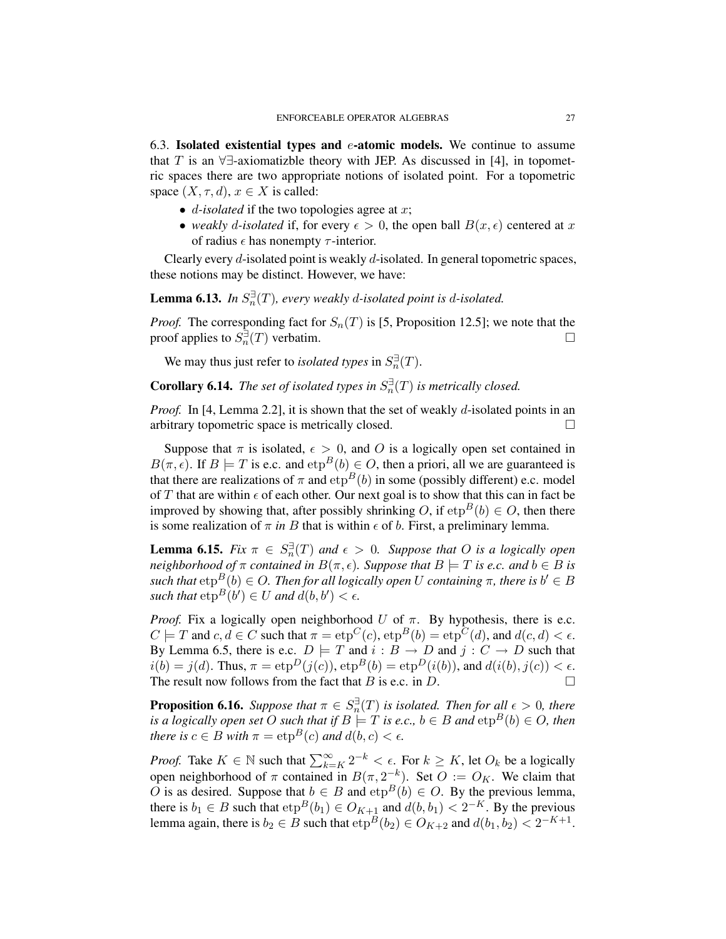6.3. Isolated existential types and  $e$ -atomic models. We continue to assume that T is an  $\forall \exists$ -axiomatizble theory with JEP. As discussed in [4], in topometric spaces there are two appropriate notions of isolated point. For a topometric space  $(X, \tau, d)$ ,  $x \in X$  is called:

- $\bullet$  *d*-*isolated* if the two topologies agree at x;
- *weakly d-isolated* if, for every  $\epsilon > 0$ , the open ball  $B(x, \epsilon)$  centered at x of radius  $\epsilon$  has nonempty  $\tau$ -interior.

Clearly every  $d$ -isolated point is weakly  $d$ -isolated. In general topometric spaces, these notions may be distinct. However, we have:

**Lemma 6.13.** In  $S_n^{\exists}(T)$ , every weakly d-isolated point is d-isolated.

*Proof.* The corresponding fact for  $S_n(T)$  is [5, Proposition 12.5]; we note that the proof applies to  $S_n^{\exists}$  (T) verbatim.

We may thus just refer to *isolated types* in  $S_n^{\exists}(T)$ .

**Corollary 6.14.** The set of isolated types in  $S_n^{\exists}(T)$  is metrically closed.

*Proof.* In [4, Lemma 2.2], it is shown that the set of weakly d-isolated points in an arbitrary topometric space is metrically closed.

Suppose that  $\pi$  is isolated,  $\epsilon > 0$ , and O is a logically open set contained in  $B(\pi, \epsilon)$ . If  $B \models T$  is e.c. and  $e^{B}(b) \in O$ , then a priori, all we are guaranteed is that there are realizations of  $\pi$  and  $e^{i\phi}$  to in some (possibly different) e.c. model of T that are within  $\epsilon$  of each other. Our next goal is to show that this can in fact be improved by showing that, after possibly shrinking O, if  $e^{B}(b) \in O$ , then there is some realization of  $\pi$  *in* B that is within  $\epsilon$  of b. First, a preliminary lemma.

**Lemma 6.15.** *Fix*  $\pi \in S_n^{\exists}(T)$  *and*  $\epsilon > 0$ *. Suppose that O is a logically open neighborhood of*  $\pi$  *contained in*  $B(\pi, \epsilon)$ *. Suppose that*  $B \models T$  *is e.c. and*  $b \in B$  *is*  $\mathit{such that}~\text{etp}^B(b) \in O.$  Then for all logically open  $U$  containing  $\pi$ , there is  $b' \in B$ such that  $\exp^B(b') \in U$  and  $d(b, b') < \epsilon$ .

*Proof.* Fix a logically open neighborhood U of  $\pi$ . By hypothesis, there is e.c.  $C \models T$  and  $c, d \in C$  such that  $\pi = \exp^C(c)$ ,  $\exp^B(b) = \exp^C(d)$ , and  $d(c, d) < \epsilon$ . By Lemma 6.5, there is e.c.  $D \models T$  and  $i : B \rightarrow D$  and  $j : C \rightarrow D$  such that  $i(b) = j(d)$ . Thus,  $\pi = \exp^D(j(c))$ ,  $\exp^B(b) = \exp^D(i(b))$ , and  $d(i(b), j(c)) < \epsilon$ . The result now follows from the fact that  $B$  is e.c. in  $D$ .

**Proposition 6.16.** *Suppose that*  $\pi \in S_n^{\exists}(T)$  *is isolated. Then for all*  $\epsilon > 0$ *, there is a logically open set* O *such that if*  $B \models T$  *is e.c.,*  $b \in B$  *and*  $\text{etp}^B(b) \in O$ *, then there is*  $c \in B$  *with*  $\pi = \exp^{B}(c)$  *and*  $d(b, c) < \epsilon$ *.* 

*Proof.* Take  $K \in \mathbb{N}$  such that  $\sum_{k=K}^{\infty} 2^{-k} < \epsilon$ . For  $k \geq K$ , let  $O_k$  be a logically open neighborhood of  $\pi$  contained in  $B(\pi, 2^{-k})$ . Set  $O := O_K$ . We claim that O is as desired. Suppose that  $b \in B$  and  $e^{B}(b) \in O$ . By the previous lemma, there is  $b_1 \in B$  such that  $e^{B}(b_1) \in O_{K+1}$  and  $d(b, b_1) < 2^{-K}$ . By the previous lemma again, there is  $b_2 \in B$  such that  $\exp^B(b_2) \in O_{K+2}$  and  $d(b_1, b_2) < 2^{-K+1}$ .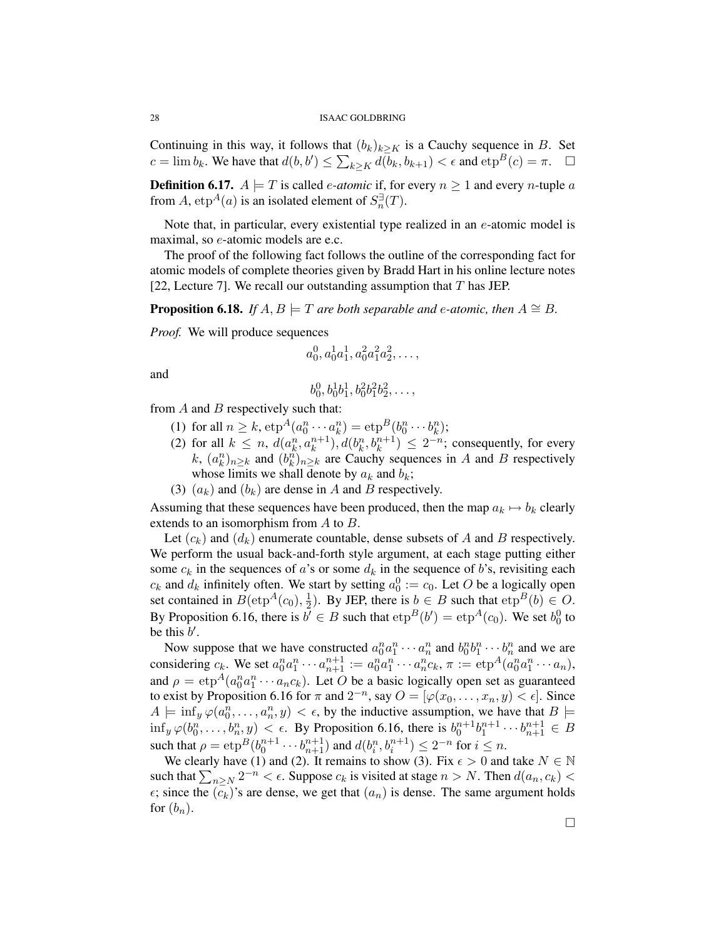Continuing in this way, it follows that  $(b_k)_{k\geq K}$  is a Cauchy sequence in B. Set  $c = \lim b_k$ . We have that  $d(b, b') \le \sum_{k \ge K} d(b_k, b_{k+1}) < \epsilon$  and  $e^{i\theta}c = \pi$ .  $\Box$ 

**Definition 6.17.**  $A \models T$  is called *e-atomic* if, for every  $n \ge 1$  and every *n*-tuple *a* from A,  $e$ t $p^A$ (*a*) is an isolated element of  $S_n^{\exists}(T)$ .

Note that, in particular, every existential type realized in an  $e$ -atomic model is maximal, so e-atomic models are e.c.

The proof of the following fact follows the outline of the corresponding fact for atomic models of complete theories given by Bradd Hart in his online lecture notes [22, Lecture 7]. We recall our outstanding assumption that  $T$  has JEP.

**Proposition 6.18.** *If*  $A, B \models T$  *are both separable and e-atomic, then*  $A \cong B$ *.* 

*Proof.* We will produce sequences

$$
a_0^0, a_0^1 a_1^1, a_0^2 a_1^2 a_2^2, \ldots,
$$

and

$$
b_0^0, b_0^1 b_1^1, b_0^2 b_1^2 b_2^2, \ldots,
$$

from  $A$  and  $B$  respectively such that:

- (1) for all  $n \ge k$ ,  $e^{i\phi A}(a_0^n \cdots a_k^n) = e^{i\phi B}(b_0^n \cdots b_k^n);$
- (2) for all  $k \leq n$ ,  $d(a_k^n, a_k^{n+1})$ ,  $d(b_k^n, b_k^{n+1}) \leq 2^{-n}$ ; consequently, for every k,  $(a_k^n)_{n \geq k}$  and  $(b_k^n)_{n \geq k}$  are Cauchy sequences in A and B respectively whose limits we shall denote by  $a_k$  and  $b_k$ ;
- (3)  $(a_k)$  and  $(b_k)$  are dense in A and B respectively.

Assuming that these sequences have been produced, then the map  $a_k \mapsto b_k$  clearly extends to an isomorphism from A to B.

Let  $(c_k)$  and  $(d_k)$  enumerate countable, dense subsets of A and B respectively. We perform the usual back-and-forth style argument, at each stage putting either some  $c_k$  in the sequences of a's or some  $d_k$  in the sequence of b's, revisiting each  $c_k$  and  $d_k$  infinitely often. We start by setting  $a_0^0 := c_0$ . Let O be a logically open set contained in  $B(\text{etp}^A(c_0), \frac{1}{2})$  $(\frac{1}{2})$ . By JEP, there is  $b \in B$  such that  $e^{t}b \in O$ . By Proposition 6.16, there is  $b' \in B$  such that  $e^{b}b' = e^{b}b''$  and  $b_0$ . We set  $b_0^0$  to be this  $b'$ .

Now suppose that we have constructed  $a_0^n a_1^n \cdots a_n^n$  and  $b_0^n b_1^n \cdots b_n^n$  and we are considering  $c_k$ . We set  $a_0^n a_1^n \cdots a_{n+1}^{n+1} := a_0^n a_1^n \cdots a_n^n c_k$ ,  $\pi := \exp^A(a_0^n a_1^n \cdots a_n)$ , and  $\rho = \exp^A(a_0^n a_1^n \cdots a_n c_k)$ . Let O be a basic logically open set as guaranteed to exist by Proposition 6.16 for  $\pi$  and  $2^{-n}$ , say  $O = [\varphi(x_0, \ldots, x_n, y) \leq \epsilon]$ . Since  $A \models \inf_y \varphi(a_0^n, \ldots, a_n^n, y) < \epsilon$ , by the inductive assumption, we have that  $B \models$  $\inf_y \varphi(b_0^n,\ldots,b_n^n,y) < \epsilon$ . By Proposition 6.16, there is  $b_0^{n+1}b_1^{n+1}\cdots b_{n+1}^{n+1} \in B$ such that  $\rho = \exp^B(b_0^{n+1} \cdots b_{n+1}^{n+1})$  and  $d(b_i^n, b_i^{n+1}) \leq 2^{-n}$  for  $i \leq n$ .

We clearly have (1) and (2). It remains to show (3). Fix  $\epsilon > 0$  and take  $N \in \mathbb{N}$ such that  $\sum_{n\geq N} 2^{-n} < \epsilon$ . Suppose  $c_k$  is visited at stage  $n > N$ . Then  $d(a_n, c_k) <$  $\epsilon$ ; since the  $(c_k)$ 's are dense, we get that  $(a_n)$  is dense. The same argument holds for  $(b_n)$ .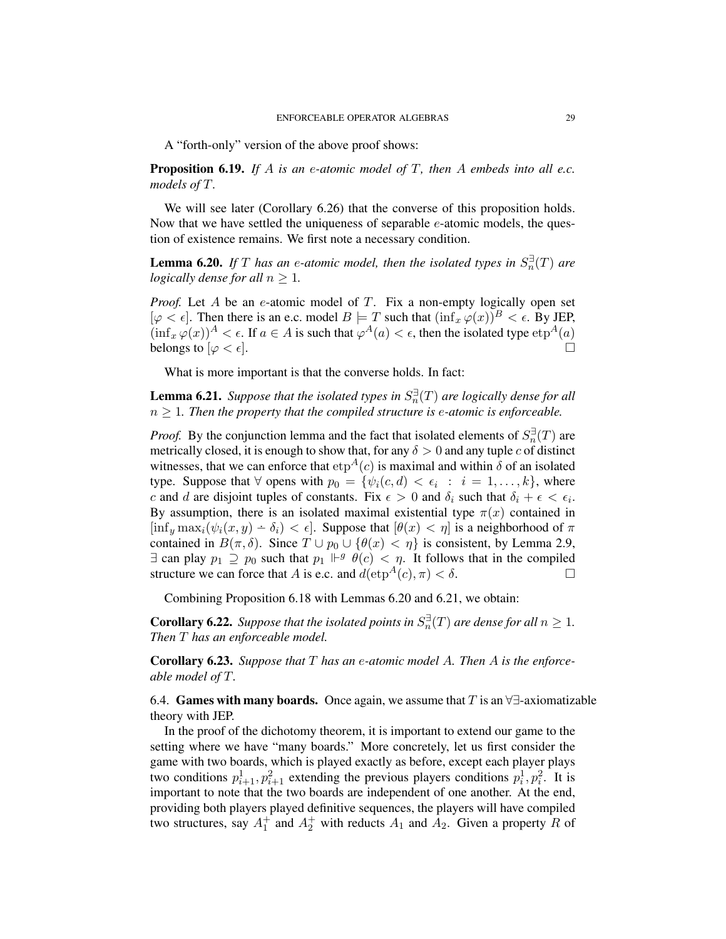A "forth-only" version of the above proof shows:

Proposition 6.19. *If* A *is an* e*-atomic model of* T*, then* A *embeds into all e.c. models of* T*.*

We will see later (Corollary 6.26) that the converse of this proposition holds. Now that we have settled the uniqueness of separable e-atomic models, the question of existence remains. We first note a necessary condition.

**Lemma 6.20.** If T has an e-atomic model, then the isolated types in  $S_n^{\exists}(T)$  are *logically dense for all*  $n > 1$ *.* 

*Proof.* Let A be an e-atomic model of T. Fix a non-empty logically open set  $[\varphi < \epsilon]$ . Then there is an e.c. model  $B \models T$  such that  $(\inf_x \varphi(x))^B < \epsilon$ . By JEP,  $(\inf_x \varphi(x))^A < \epsilon$ . If  $a \in A$  is such that  $\varphi^A(a) < \epsilon$ , then the isolated type  $e^{A}(a)$ belongs to  $[\varphi < \epsilon]$ .

What is more important is that the converse holds. In fact:

**Lemma 6.21.** Suppose that the isolated types in  $S_n^{\exists}(T)$  are logically dense for all  $n \geq 1$ . Then the property that the compiled structure is e-atomic is enforceable.

*Proof.* By the conjunction lemma and the fact that isolated elements of  $S_n^{\exists}(T)$  are metrically closed, it is enough to show that, for any  $\delta > 0$  and any tuple c of distinct witnesses, that we can enforce that  $e^{A}(c)$  is maximal and within  $\delta$  of an isolated type. Suppose that  $\forall$  opens with  $p_0 = \{ \psi_i(c, d) < \epsilon_i : i = 1, ..., k \}$ , where c and d are disjoint tuples of constants. Fix  $\epsilon > 0$  and  $\delta_i$  such that  $\delta_i + \epsilon < \epsilon_i$ . By assumption, there is an isolated maximal existential type  $\pi(x)$  contained in  $[\inf_y \max_i(\psi_i(x, y) - \delta_i) < \epsilon]$ . Suppose that  $[\theta(x) < \eta]$  is a neighborhood of  $\pi$ contained in  $B(\pi, \delta)$ . Since  $T \cup p_0 \cup {\theta(x) < \eta}$  is consistent, by Lemma 2.9,  $\exists$  can play  $p_1 \supseteq p_0$  such that  $p_1 \Vdash^g \theta(c) < \eta$ . It follows that in the compiled structure we can force that A is e.c. and  $d(\text{etp}^{A}(c), \pi) < \delta$ .

Combining Proposition 6.18 with Lemmas 6.20 and 6.21, we obtain:

**Corollary 6.22.** Suppose that the isolated points in  $S_n^{\exists}(T)$  are dense for all  $n \geq 1$ . *Then* T *has an enforceable model.*

Corollary 6.23. *Suppose that* T *has an* e*-atomic model* A*. Then* A *is the enforceable model of* T*.*

6.4. Games with many boards. Once again, we assume that T is an  $\forall \exists$ -axiomatizable theory with JEP.

In the proof of the dichotomy theorem, it is important to extend our game to the setting where we have "many boards." More concretely, let us first consider the game with two boards, which is played exactly as before, except each player plays two conditions  $p_{i+1}^1, p_{i+1}^2$  extending the previous players conditions  $p_i^1, p_i^2$ . It is important to note that the two boards are independent of one another. At the end, providing both players played definitive sequences, the players will have compiled two structures, say  $A_1^+$  and  $A_2^+$  with reducts  $A_1$  and  $A_2$ . Given a property R of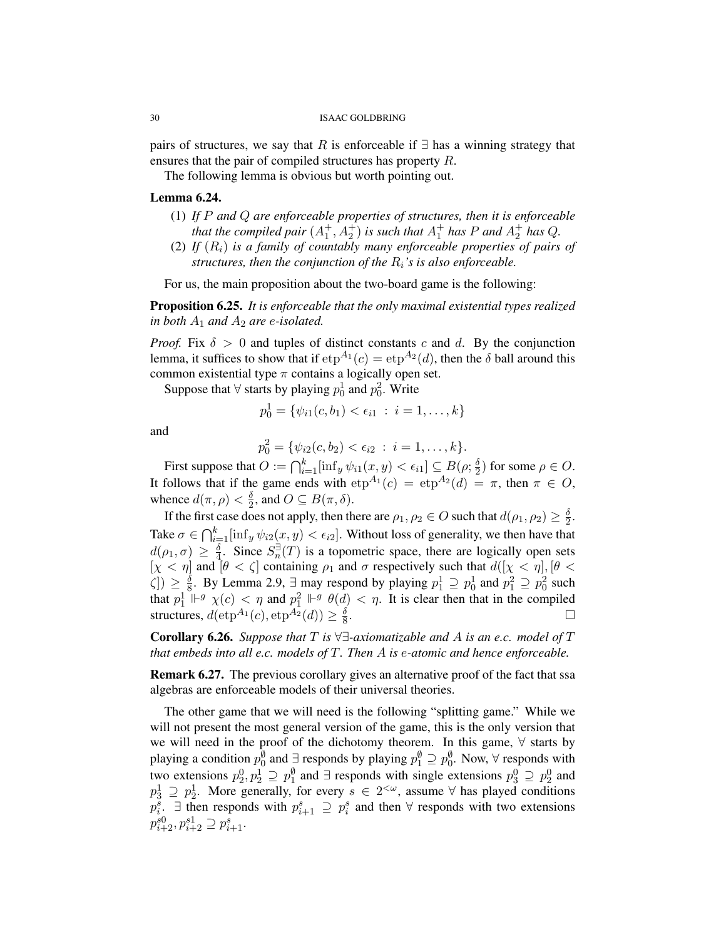pairs of structures, we say that R is enforceable if  $\exists$  has a winning strategy that ensures that the pair of compiled structures has property R.

The following lemma is obvious but worth pointing out.

## Lemma 6.24.

- (1) *If* P *and* Q *are enforceable properties of structures, then it is enforceable that the compiled pair*  $(A_1^+, A_2^+)$  *is such that*  $A_1^+$  *has* P *and*  $A_2^+$  *has* Q.
- (2) If  $(R_i)$  *is a family of countably many enforceable properties of pairs of structures, then the conjunction of the* Ri*'s is also enforceable.*

For us, the main proposition about the two-board game is the following:

Proposition 6.25. *It is enforceable that the only maximal existential types realized in both*  $A_1$  *and*  $A_2$  *are e-isolated.* 

*Proof.* Fix  $\delta > 0$  and tuples of distinct constants c and d. By the conjunction lemma, it suffices to show that if  $e^{A_1}(c) = e^{A_2}(d)$ , then the  $\delta$  ball around this common existential type  $\pi$  contains a logically open set.

Suppose that  $\forall$  starts by playing  $p_0^1$  and  $p_0^2$ . Write

$$
p_0^1 = \{ \psi_{i1}(c, b_1) < \epsilon_{i1} \; : \; i = 1, \dots, k \}
$$

and

$$
p_0^2 = \{ \psi_{i2}(c, b_2) < \epsilon_{i2} : i = 1, \dots, k \}.
$$

First suppose that  $O := \bigcap_{i=1}^k [\inf_y \psi_{i1}(x, y) < \epsilon_{i1}] \subseteq B(\rho; \frac{\delta}{2})$  $\frac{\delta}{2}$ ) for some  $\rho \in O$ . It follows that if the game ends with  $\exp^{A_1}(c) = \exp^{A_2}(d) = \pi$ , then  $\pi \in O$ , whence  $d(\pi, \rho) < \frac{\delta}{2}$  $\frac{\delta}{2}$ , and  $O \subseteq B(\pi, \delta)$ .

If the first case does not apply, then there are  $\rho_1, \rho_2 \in O$  such that  $d(\rho_1, \rho_2) \geq \frac{\delta}{2}$  $\frac{\delta}{2}$ . Take  $\sigma \in \bigcap_{i=1}^k [\inf_y \psi_{i2}(x, y) < \epsilon_{i2}]$ . Without loss of generality, we then have that  $d(\rho_1, \sigma) \, \ge \, \frac{\delta}{4}$  $\frac{\delta}{4}$ . Since  $S_n^{\exists}(T)$  is a topometric space, there are logically open sets  $[\chi \lt \eta]$  and  $[\theta \lt \zeta]$  containing  $\rho_1$  and  $\sigma$  respectively such that  $d([\chi \lt \eta], [\theta \lt \eta])$  $\zeta$ ])  $\geq \frac{\delta}{8}$  $\frac{\delta}{8}$ . By Lemma 2.9,  $\exists$  may respond by playing  $p_1^1 \supseteq p_0^1$  and  $p_1^2 \supseteq p_0^2$  such that  $p_1^1 \Vdash^g \chi(c) < \eta$  and  $p_1^2 \Vdash^g \theta(d) < \eta$ . It is clear then that in the compiled structures,  $d(\exp^{A_1}(c), \exp^{A_2}(d)) \geq \frac{\delta}{8}$ 8 .

Corollary 6.26. *Suppose that* T *is* ∀∃*-axiomatizable and* A *is an e.c. model of* T *that embeds into all e.c. models of* T*. Then* A *is* e*-atomic and hence enforceable.*

Remark 6.27. The previous corollary gives an alternative proof of the fact that ssa algebras are enforceable models of their universal theories.

The other game that we will need is the following "splitting game." While we will not present the most general version of the game, this is the only version that we will need in the proof of the dichotomy theorem. In this game, ∀ starts by playing a condition  $p_0^{\emptyset}$  and  $\exists$  responds by playing  $p_1^{\emptyset} \supseteq p_0^{\emptyset}$ . Now,  $\forall$  responds with two extensions  $p_2^0, p_2^1 \supseteq p_1^{\emptyset}$  and  $\exists$  responds with single extensions  $p_3^0 \supseteq p_2^0$  and  $p_3^1 \supseteq p_2^1$ . More generally, for every  $s \in 2^{\lt \omega}$ , assume  $\forall$  has played conditions  $p_i^s$ .  $\exists$  then responds with  $p_{i+1}^s \supseteq p_i^s$  and then  $\forall$  responds with two extensions  $p_{i+2}^{s0}, p_{i+2}^{s1} \supseteq p_{i+1}^{s}$ .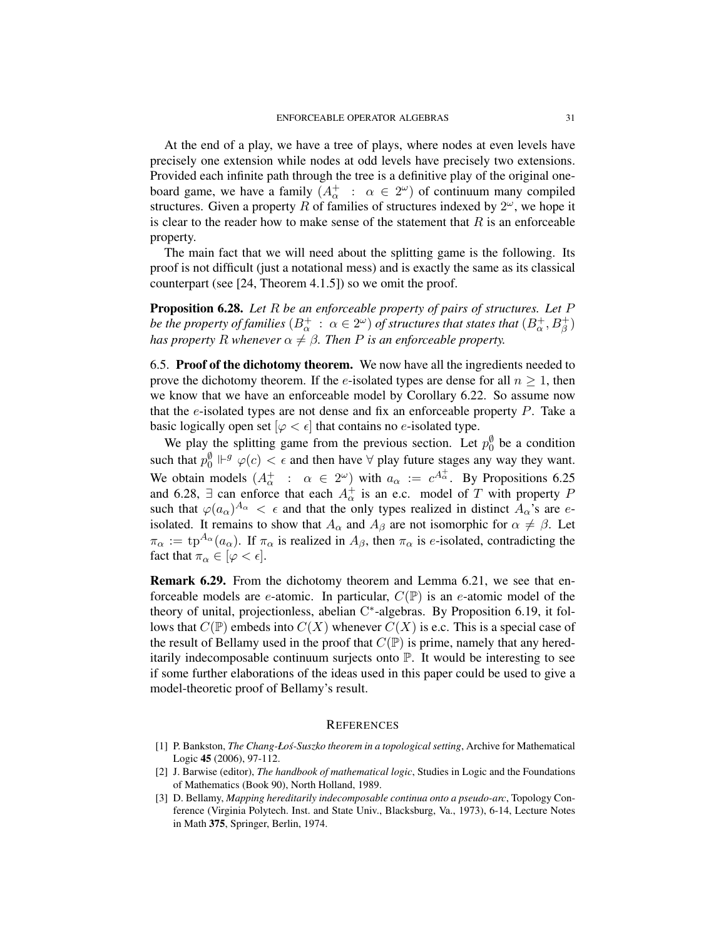At the end of a play, we have a tree of plays, where nodes at even levels have precisely one extension while nodes at odd levels have precisely two extensions. Provided each infinite path through the tree is a definitive play of the original oneboard game, we have a family  $(A^+_\alpha : \alpha \in 2^\omega)$  of continuum many compiled structures. Given a property R of families of structures indexed by  $2^{\omega}$ , we hope it is clear to the reader how to make sense of the statement that  $R$  is an enforceable property.

The main fact that we will need about the splitting game is the following. Its proof is not difficult (just a notational mess) and is exactly the same as its classical counterpart (see [24, Theorem 4.1.5]) so we omit the proof.

Proposition 6.28. *Let* R *be an enforceable property of pairs of structures. Let* P *be the property of families*  $(B^+_\alpha\,:\, \alpha\in 2^\omega)$  *of structures that states that*  $(B^+_\alpha, B^+_\beta)$ *has property* R *whenever*  $\alpha \neq \beta$ *. Then* P *is an enforceable property.* 

6.5. Proof of the dichotomy theorem. We now have all the ingredients needed to prove the dichotomy theorem. If the e-isolated types are dense for all  $n \geq 1$ , then we know that we have an enforceable model by Corollary 6.22. So assume now that the  $e$ -isolated types are not dense and fix an enforceable property  $P$ . Take a basic logically open set  $[\varphi \lt \epsilon]$  that contains no e-isolated type.

We play the splitting game from the previous section. Let  $p_0^{\emptyset}$  be a condition such that  $p_0^{\emptyset} \Vdash^g \varphi(c) < \epsilon$  and then have  $\forall$  play future stages any way they want. We obtain models  $(A_\alpha^+ : \alpha \in 2^\omega)$  with  $a_\alpha := c^{A_\alpha^+}$ . By Propositions 6.25 and 6.28,  $\exists$  can enforce that each  $A^+_{\alpha}$  is an e.c. model of T with property P such that  $\varphi(a_{\alpha})^{A_{\alpha}} < \epsilon$  and that the only types realized in distinct  $A_{\alpha}$ 's are eisolated. It remains to show that  $A_{\alpha}$  and  $A_{\beta}$  are not isomorphic for  $\alpha \neq \beta$ . Let  $\pi_{\alpha} := \text{tp}^{A_{\alpha}}(a_{\alpha})$ . If  $\pi_{\alpha}$  is realized in  $A_{\beta}$ , then  $\pi_{\alpha}$  is *e*-isolated, contradicting the fact that  $\pi_{\alpha} \in [\varphi < \epsilon]$ .

Remark 6.29. From the dichotomy theorem and Lemma 6.21, we see that enforceable models are *e*-atomic. In particular,  $C(\mathbb{P})$  is an *e*-atomic model of the theory of unital, projectionless, abelian C\*-algebras. By Proposition 6.19, it follows that  $C(\mathbb{P})$  embeds into  $C(X)$  whenever  $C(X)$  is e.c. This is a special case of the result of Bellamy used in the proof that  $C(\mathbb{P})$  is prime, namely that any hereditarily indecomposable continuum surjects onto P. It would be interesting to see if some further elaborations of the ideas used in this paper could be used to give a model-theoretic proof of Bellamy's result.

#### **REFERENCES**

- [1] P. Bankston, *The Chang-Łos-Suszko theorem in a topological setting ´* , Archive for Mathematical Logic 45 (2006), 97-112.
- [2] J. Barwise (editor), *The handbook of mathematical logic*, Studies in Logic and the Foundations of Mathematics (Book 90), North Holland, 1989.
- [3] D. Bellamy, *Mapping hereditarily indecomposable continua onto a pseudo-arc*, Topology Conference (Virginia Polytech. Inst. and State Univ., Blacksburg, Va., 1973), 6-14, Lecture Notes in Math 375, Springer, Berlin, 1974.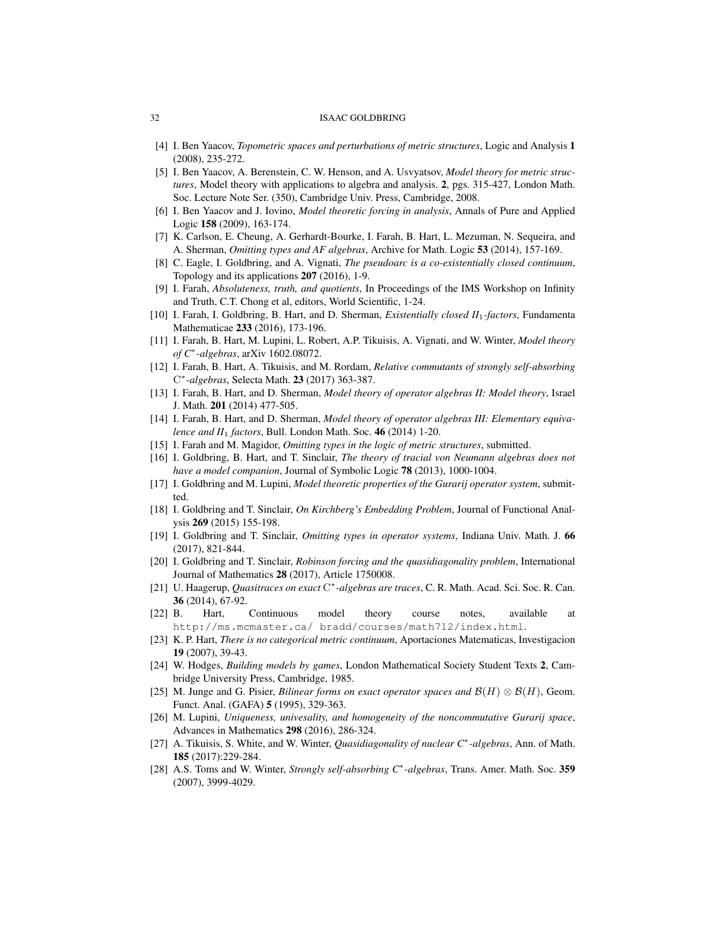- [4] I. Ben Yaacov, *Topometric spaces and perturbations of metric structures*, Logic and Analysis 1 (2008), 235-272.
- [5] I. Ben Yaacov, A. Berenstein, C. W. Henson, and A. Usvyatsov, *Model theory for metric structures*, Model theory with applications to algebra and analysis. 2, pgs. 315-427, London Math. Soc. Lecture Note Ser. (350), Cambridge Univ. Press, Cambridge, 2008.
- [6] I. Ben Yaacov and J. Iovino, *Model theoretic forcing in analysis*, Annals of Pure and Applied Logic 158 (2009), 163-174.
- [7] K. Carlson, E. Cheung, A. Gerhardt-Bourke, I. Farah, B. Hart, L. Mezuman, N. Sequeira, and A. Sherman, *Omitting types and AF algebras*, Archive for Math. Logic 53 (2014), 157-169.
- [8] C. Eagle, I. Goldbring, and A. Vignati, *The pseudoarc is a co-existentially closed continuum*, Topology and its applications 207 (2016), 1-9.
- [9] I. Farah, *Absoluteness, truth, and quotients*, In Proceedings of the IMS Workshop on Infinity and Truth, C.T. Chong et al, editors, World Scientific, 1-24.
- [10] I. Farah, I. Goldbring, B. Hart, and D. Sherman, *Existentially closed II*1*-factors*, Fundamenta Mathematicae 233 (2016), 173-196.
- [11] I. Farah, B. Hart, M. Lupini, L. Robert, A.P. Tikuisis, A. Vignati, and W. Winter, *Model theory of C*<sup>∗</sup> *-algebras*, arXiv 1602.08072.
- [12] I. Farah, B. Hart, A. Tikuisis, and M. Rordam, *Relative commutants of strongly self-absorbing* C ∗ *-algebras*, Selecta Math. 23 (2017) 363-387.
- [13] I. Farah, B. Hart, and D. Sherman, *Model theory of operator algebras II: Model theory*, Israel J. Math. 201 (2014) 477-505.
- [14] I. Farah, B. Hart, and D. Sherman, *Model theory of operator algebras III: Elementary equivalence and II*<sup>1</sup> *factors*, Bull. London Math. Soc. 46 (2014) 1-20.
- [15] I. Farah and M. Magidor, *Omitting types in the logic of metric structures*, submitted.
- [16] I. Goldbring, B. Hart, and T. Sinclair, *The theory of tracial von Neumann algebras does not have a model companion*, Journal of Symbolic Logic 78 (2013), 1000-1004.
- [17] I. Goldbring and M. Lupini, *Model theoretic properties of the Gurarij operator system*, submitted.
- [18] I. Goldbring and T. Sinclair, *On Kirchberg's Embedding Problem*, Journal of Functional Analysis 269 (2015) 155-198.
- [19] I. Goldbring and T. Sinclair, *Omitting types in operator systems*, Indiana Univ. Math. J. 66 (2017), 821-844.
- [20] I. Goldbring and T. Sinclair, *Robinson forcing and the quasidiagonality problem*, International Journal of Mathematics 28 (2017), Article 1750008.
- [21] U. Haagerup, *Quasitraces on exact* C<sup>\*</sup>-algebras are traces, C. R. Math. Acad. Sci. Soc. R. Can. 36 (2014), 67-92.
- [22] B. Hart, Continuous model theory course notes, available at http://ms.mcmaster.ca/ bradd/courses/math712/index.html.
- [23] K. P. Hart, *There is no categorical metric continuum*, Aportaciones Matematicas, Investigacion 19 (2007), 39-43.
- [24] W. Hodges, *Building models by games*, London Mathematical Society Student Texts 2, Cambridge University Press, Cambridge, 1985.
- [25] M. Junge and G. Pisier, *Bilinear forms on exact operator spaces and* B(H) ⊗ B(H), Geom. Funct. Anal. (GAFA) 5 (1995), 329-363.
- [26] M. Lupini, *Uniqueness, univesality, and homogeneity of the noncommutative Gurarij space*, Advances in Mathematics 298 (2016), 286-324.
- [27] A. Tikuisis, S. White, and W. Winter, *Quasidiagonality of nuclear C*<sup>∗</sup> *-algebras*, Ann. of Math. 185 (2017):229-284.
- [28] A.S. Toms and W. Winter, *Strongly self-absorbing C*<sup>∗</sup> *-algebras*, Trans. Amer. Math. Soc. 359 (2007), 3999-4029.